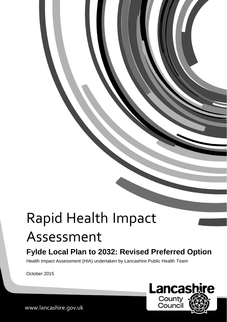# Rapid Health Impact Assessment

# **Fylde Local Plan to 2032: Revised Preferred Option**

Health Impact Assessment (HIA) undertaken by Lancashire Public Health Team

October 2015

Lancas **re** County Council

www.lancashire.gov.uk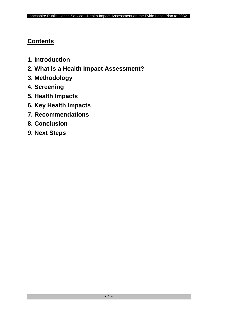# **Contents**

- **1. Introduction**
- **2. What is a Health Impact Assessment?**
- **3. Methodology**
- **4. Screening**
- **5. Health Impacts**
- **6. Key Health Impacts**
- **7. Recommendations**
- **8. Conclusion**
- **9. Next Steps**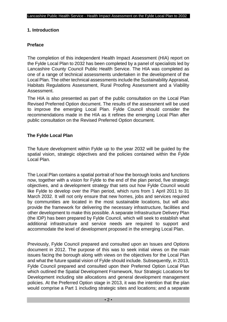#### **1. Introduction**

#### **Preface**

The completion of this independent Health Impact Assessment (HIA) report on the Fylde Local Plan to 2032 has been completed by a panel of specialists led by Lancashire County Council Public Health Service. The HIA was completed as one of a range of technical assessments undertaken in the development of the Local Plan. The other technical assessments include the Sustainability Appraisal, Habitats Regulations Assessment, Rural Proofing Assessment and a Viability Assessment.

The HIA is also presented as part of the public consultation on the Local Plan Revised Preferred Option document. The results of the assessment will be used to improve the emerging Local Plan. Fylde Council should consider the recommendations made in the HIA as it refines the emerging Local Plan after public consultation on the Revised Preferred Option document.

#### **The Fylde Local Plan**

The future development within Fylde up to the year 2032 will be guided by the spatial vision, strategic objectives and the policies contained within the Fylde Local Plan.

The Local Plan contains a spatial portrait of how the borough looks and functions now, together with a vision for Fylde to the end of the plan period, five strategic objectives, and a development strategy that sets out how Fylde Council would like Fylde to develop over the Plan period, which runs from 1 April 2011 to 31 March 2032. It will not only ensure that new homes, jobs and services required by communities are located in the most sustainable locations, but will also provide the framework for delivering the necessary infrastructure, facilities and other development to make this possible. A separate Infrastructure Delivery Plan (the IDP) has been prepared by Fylde Council, which will seek to establish what additional infrastructure and service needs are required to support and accommodate the level of development proposed in the emerging Local Plan.

Previously, Fylde Council prepared and consulted upon an Issues and Options document in 2012. The purpose of this was to seek initial views on the main issues facing the borough along with views on the objectives for the Local Plan and what the future spatial vision of Fylde should include. Subsequently, in 2013, Fylde Council prepared and consulted upon their Preferred Option Local Plan which outlined the Spatial Development Framework, four Strategic Locations for Development including site allocations and general development management policies. At the Preferred Option stage in 2013, it was the intention that the plan would comprise a Part 1 including strategic sites and locations; and a separate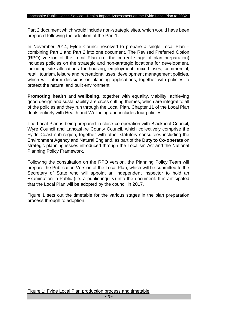Part 2 document which would include non-strategic sites, which would have been prepared following the adoption of the Part 1.

In November 2014, Fylde Council resolved to prepare a single Local Plan – combining Part 1 and Part 2 into one document. The Revised Preferred Option (RPO) version of the Local Plan (i.e. the current stage of plan preparation) includes policies on the strategic and non-strategic locations for development, including site allocations for housing, employment, mixed uses, commercial, retail, tourism, leisure and recreational uses; development management policies, which will inform decisions on planning applications, together with policies to protect the natural and built environment.

**Promoting health** and **wellbeing**, together with equality, viability, achieving good design and sustainability are cross cutting themes, which are integral to all of the policies and they run through the Local Plan. Chapter 11 of the Local Plan deals entirely with Health and Wellbeing and includes four policies.

The Local Plan is being prepared in close co-operation with Blackpool Council, Wyre Council and Lancashire County Council, which collectively comprise the Fylde Coast sub-region, together with other statutory consultees including the Environment Agency and Natural England, as part of the **Duty to Co-operate** on strategic planning issues introduced through the Localism Act and the National Planning Policy Framework.

Following the consultation on the RPO version, the Planning Policy Team will prepare the Publication Version of the Local Plan, which will be submitted to the Secretary of State who will appoint an independent inspector to hold an Examination in Public (i.e. a public inquiry) into the document. It is anticipated that the Local Plan will be adopted by the council in 2017.

Figure 1 sets out the timetable for the various stages in the plan preparation process through to adoption.

Figure 1: Fylde Local Plan production process and timetable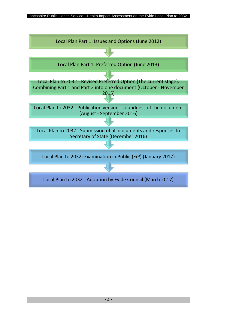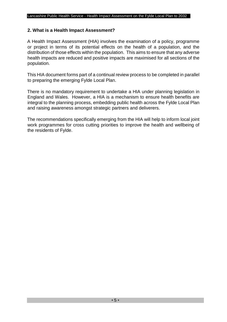#### **2. What is a Health Impact Assessment?**

A Health Impact Assessment (HIA) involves the examination of a policy, programme or project in terms of its potential effects on the health of a population, and the distribution of those effects within the population. This aims to ensure that any adverse health impacts are reduced and positive impacts are maximised for all sections of the population.

This HIA document forms part of a continual review process to be completed in parallel to preparing the emerging Fylde Local Plan.

There is no mandatory requirement to undertake a HIA under planning legislation in England and Wales. However, a HIA is a mechanism to ensure health benefits are integral to the planning process, embedding public health across the Fylde Local Plan and raising awareness amongst strategic partners and deliverers.

The recommendations specifically emerging from the HIA will help to inform local joint work programmes for cross cutting priorities to improve the health and wellbeing of the residents of Fylde.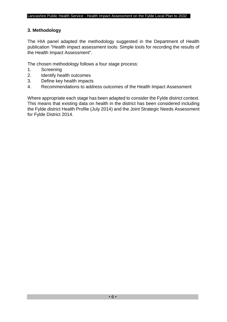#### **3. Methodology**

The HIA panel adapted the methodology suggested in the Department of Health publication "Health impact assessment tools: Simple tools for recording the results of the Health Impact Assessment".

The chosen methodology follows a four stage process:

- 1. Screening
- 2. Identify health outcomes
- 3. Define key health impacts
- 4. Recommendations to address outcomes of the Health Impact Assessment

Where appropriate each stage has been adapted to consider the Fylde district context. This means that existing data on health in the district has been considered including the Fylde district Health Profile (July 2014) and the Joint Strategic Needs Assessment for Fylde District 2014.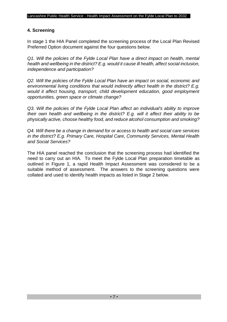#### **4. Screening**

In stage 1 the HIA Panel completed the screening process of the Local Plan Revised Preferred Option document against the four questions below.

*Q1. Will the policies of the Fylde Local Plan have a direct impact on health, mental health and wellbeing in the district? E.g. would it cause ill health, affect social inclusion, independence and participation?* 

*Q2. Will the policies of the Fylde Local Plan have an impact on social, economic and environmental living conditions that would indirectly affect health in the district? E.g. would it affect housing, transport, child development education, good employment opportunities, green space or climate change?* 

*Q3. Will the policies of the Fylde Local Plan affect an individual's ability to improve their own health and wellbeing in the district? E.g. will it affect their ability to be physically active, choose healthy food, and reduce alcohol consumption and smoking?* 

*Q4. Will there be a change in demand for or access to health and social care services in the district? E.g. Primary Care, Hospital Care, Community Services, Mental Health and Social Services?* 

The HIA panel reached the conclusion that the screening process had identified the need to carry out an HIA. To meet the Fylde Local Plan preparation timetable as outlined in Figure 1, a rapid Health Impact Assessment was considered to be a suitable method of assessment. The answers to the screening questions were collated and used to identify health impacts as listed in Stage 2 below.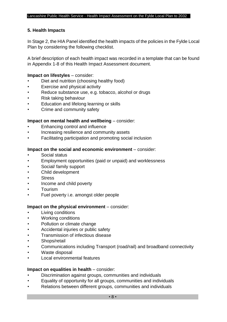#### **5. Health Impacts**

In Stage 2, the HIA Panel identified the health impacts of the policies in the Fylde Local Plan by considering the following checklist.

A brief description of each health impact was recorded in a template that can be found in Appendix 1-8 of this Health Impact Assessment document.

#### **Impact on lifestyles** – consider:

- Diet and nutrition (choosing healthy food)
- Exercise and physical activity
- Reduce substance use, e.g. tobacco, alcohol or drugs
- Risk taking behaviour
- Education and lifelong learning or skills
- Crime and community safety

#### **Impact on mental health and wellbeing** – consider:

- Enhancing control and influence
- Increasing resilience and community assets
- Facilitating participation and promoting social inclusion

#### **Impact on the social and economic environment** – consider:

- Social status
- Employment opportunities (paid or unpaid) and worklessness
- Social/ family support
- Child development
- **Stress**
- Income and child poverty
- Tourism
- Fuel poverty i.e. amongst older people

#### **Impact on the physical environment** – consider:

- **Living conditions**
- Working conditions
- Pollution or climate change
- Accidental injuries or public safety
- Transmission of infectious disease
- Shops/retail
- Communications including Transport (road/rail) and broadband connectivity
- Waste disposal
- Local environmental features

#### **Impact on equalities in health** – consider:

- Discrimination against groups, communities and individuals
- Equality of opportunity for all groups, communities and individuals
- Relations between different groups, communities and individuals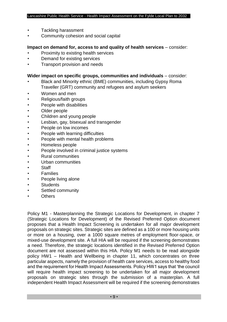- Tackling harassment
- Community cohesion and social capital

#### **Impact on demand for, access to and quality of health services** – consider:

- Proximity to existing health services
- Demand for existing services
- Transport provision and needs

#### **Wider impact on specific groups, communities and individuals** – consider:

- Black and Minority ethnic (BME) communities, including Gypsy Roma Traveller (GRT) community and refugees and asylum seekers
- Women and men
- Religious/faith groups
- People with disabilities
- Older people
- Children and young people
- Lesbian, gay, bisexual and transgender
- People on low incomes
- People with learning difficulties
- People with mental health problems
- Homeless people
- People involved in criminal justice systems
- Rural communities
- Urban communities
- **Staff**
- **Families**
- People living alone
- **Students**
- Settled community
- Others

Policy M1 - Masterplanning the Strategic Locations for Development, in chapter 7 (Strategic Locations for Development) of the Revised Preferred Option document proposes that a Health Impact Screening is undertaken for all major development proposals on strategic sites. Strategic sites are defined as a 100 or more housing units or more on a housing, over a 1000 square metres of employment floor-space, or mixed-use development site. A full HIA will be required if the screening demonstrates a need. Therefore, the strategic locations identified in the Revised Preferred Option document are not assessed within this HIA. Policy M1 needs to be read alongside policy HW1 – Health and Wellbeing in chapter 11, which concentrates on three particular aspects, namely the provision of health care services, access to healthy food and the requirement for Health Impact Assessments. Policy HW1 says that 'the council will require health impact screening to be undertaken for all major development proposals on strategic sites through the submission of a masterplan. A full independent Health Impact Assessment will be required if the screening demonstrates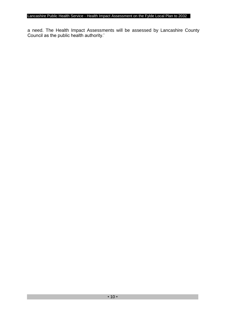a need. The Health Impact Assessments will be assessed by Lancashire County Council as the public health authority.'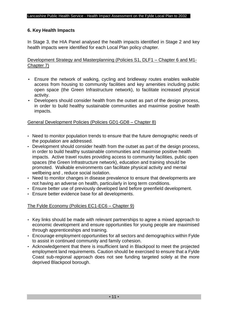#### **6. Key Health Impacts**

In Stage 3, the HIA Panel analysed the health impacts identified in Stage 2 and key health impacts were identified for each Local Plan policy chapter.

Development Strategy and Masterplanning (Policies S1, DLF1 – Chapter 6 and M1- Chapter 7)

- Ensure the network of walking, cycling and bridleway routes enables walkable access from housing to community facilities and key amenities including public open space (the Green Infrastructure network), to facilitate increased physical activity.
- Developers should consider health from the outset as part of the design process, in order to build healthy sustainable communities and maximise positive health impacts.

#### General Development Policies (Policies GD1-GD8 – Chapter 8)

- Need to monitor population trends to ensure that the future demographic needs of the population are addressed.
- Development should consider health from the outset as part of the design process, in order to build healthy sustainable communities and maximise positive health impacts. Active travel routes providing access to community facilities, public open spaces (the Green Infrastructure network), education and training should be promoted. Walkable environments can facilitate physical activity and mental wellbeing and , reduce social isolation.
- Need to monitor changes in disease prevalence to ensure that developments are not having an adverse on health, particularly in long term conditions.
- Ensure better use of previously developed land before greenfield development.
- Ensure better evidence base for all developments.

#### The Fylde Economy (Policies EC1-EC6 – Chapter 9)

- Key links should be made with relevant partnerships to agree a mixed approach to economic development and ensure opportunities for young people are maximised through apprenticeships and training.
- Encourage employment opportunities for all sectors and demographics within Fylde to assist in continued community and family cohesion.
- Acknowledgement that there is insufficient land in Blackpool to meet the projected employment land requirements. Caution should be exercised to ensure that a Fylde Coast sub-regional approach does not see funding targeted solely at the more deprived Blackpool borough.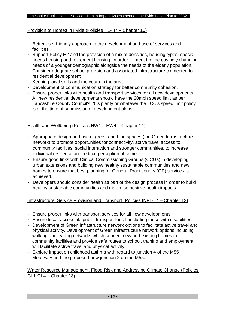#### Provision of Homes in Fylde (Policies H1-H7 – Chapter 10)

- Better user friendly approach to the development and use of services and facilities.
- Support Policy H2 and the provision of a mix of densities, housing types, special needs housing and retirement housing, in order to meet the increasingly changing needs of a younger demographic alongside the needs of the elderly population.
- Consider adequate school provision and associated infrastructure connected to residential development
- Keeping local skills and the youth in the area
- Development of communication strategy for better community cohesion.
- Ensure proper links with health and transport services for all new developments. All new residential developments should have the 20mph speed limit as per Lancashire County Council's 20's plenty or whatever the LCC's speed limit policy is at the time of submission of development plans

#### Health and Wellbeing (Policies HW1 – HW4 – Chapter 11)

- Appropriate design and use of green and blue spaces (the Green Infrastructure network) to promote opportunities for connectivity, active travel access to community facilities, social interaction and stronger communities, to increase individual resilience and reduce perception of crime.
- Ensure good links with Clinical Commissioning Groups (CCGs) in developing urban extensions and building new healthy sustainable communities and new homes to ensure that best planning for General Practitioners (GP) services is achieved.
- Developers should consider health as part of the design process in order to build healthy sustainable communities and maximise positive health impacts.

#### Infrastructure, Service Provision and Transport (Policies INF1-T4 – Chapter 12)

- Ensure proper links with transport services for all new developments.
- Ensure local, accessible public transport for all, including those with disabilities.
- Development of Green Infrastructure network options to facilitate active travel and physical activity. Development of Green Infrastructure network options including walking and cycling networks which connect new and existing homes to community facilities and provide safe routes to school, training and employment will facilitate active travel and physical activity.
- Explore impact on childhood asthma with regard to junction 4 of the M55 Motorway and the proposed new junction 2 on the M55.

#### Water Resource Management, Flood Risk and Addressing Climate Change (Policies CL1-CL4 – Chapter 13)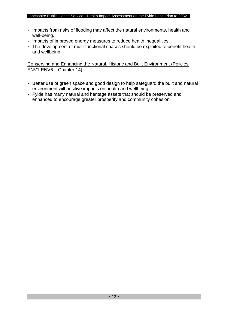- Impacts from risks of flooding may affect the natural environments, health and well-being.
- Impacts of improved energy measures to reduce health inequalities.
- The development of multi-functional spaces should be exploited to benefit health and wellbeing.

Conserving and Enhancing the Natural, Historic and Built Environment (Policies ENV1-ENV6 – Chapter 14)

- Better use of green space and good design to help safeguard the built and natural environment will positive impacts on health and wellbeing.
- Fylde has many natural and heritage assets that should be preserved and enhanced to encourage greater prosperity and community cohesion.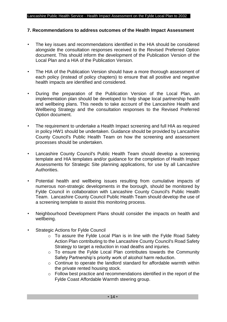#### **7. Recommendations to address outcomes of the Health Impact Assessment**

- The key issues and recommendations identified in the HIA should be considered alongside the consultation responses received to the Revised Preferred Option document. This should inform the development of the Publication Version of the Local Plan and a HIA of the Publication Version.
- The HIA of the Publication Version should have a more thorough assessment of each policy (instead of policy chapters) to ensure that all positive and negative health impacts are identified and considered.
- During the preparation of the Publication Version of the Local Plan, an implementation plan should be developed to help shape local partnership health and wellbeing plans. This needs to take account of the Lancashire Health and Wellbeing Strategy and the consultation responses to the Revised Preferred Option document.
- The requirement to undertake a Health Impact screening and full HIA as required in policy HW1 should be undertaken. Guidance should be provided by Lancashire County Council's Public Health Team on how the screening and assessment processes should be undertaken.
- Lancashire County Council's Public Health Team should develop a screening template and HIA templates and/or guidance for the completion of Health Impact Assessments for Strategic Site planning applications, for use by all Lancashire Authorities.
- Potential health and wellbeing issues resulting from cumulative impacts of numerous non-strategic developments in the borough, should be monitored by Fylde Council in collaboration with Lancashire County Council's Public Health Team. Lancashire County Council Public Health Team should develop the use of a screening template to assist this monitoring process.
- Neighbourhood Development Plans should consider the impacts on health and wellbeing.
- Strategic Actions for Fylde Council
	- o To assure the Fylde Local Plan is in line with the Fylde Road Safety Action Plan contributing to the Lancashire County Council's Road Safety Strategy to target a reduction in road deaths and injuries.
	- o To ensure the Fylde Local Plan contributes towards the Community Safety Partnership's priority work of alcohol harm reduction.
	- o Continue to operate the landlord standard for affordable warmth within the private rented housing stock.
	- o Follow best practice and recommendations identified in the report of the Fylde Coast Affordable Warmth steering group.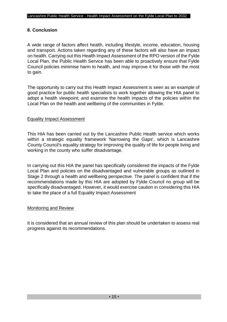#### **8. Conclusion**

A wide range of factors affect health, including lifestyle, income, education, housing and transport. Actions taken regarding any of these factors will also have an impact on health. Carrying out this Health Impact Assessment of the RPO version of the Fylde Local Plan, the Public Health Service has been able to proactively ensure that Fylde Council policies minimise harm to health, and may improve it for those with the most to gain.

The opportunity to carry out this Health Impact Assessment is seen as an example of good practice for public health specialists to work together allowing the HIA panel to adopt a health viewpoint; and examine the health impacts of the policies within the Local Plan on the health and wellbeing of the communities in Fylde.

#### Equality Impact Assessment

This HIA has been carried out by the Lancashire Public Health service which works within a strategic equality framework 'Narrowing the Gaps', which is Lancashire County Council's equality strategy for improving the quality of life for people living and working in the county who suffer disadvantage.

In carrying out this HIA the panel has specifically considered the impacts of the Fylde Local Plan and policies on the disadvantaged and vulnerable groups as outlined in Stage 2 through a health and wellbeing perspective. The panel is confident that if the recommendations made by this HIA are adopted by Fylde Council no group will be specifically disadvantaged. However, it would exercise caution in considering this HIA to take the place of a full Equality Impact Assessment

#### Monitoring and Review

It is considered that an annual review of this plan should be undertaken to assess real progress against its recommendations.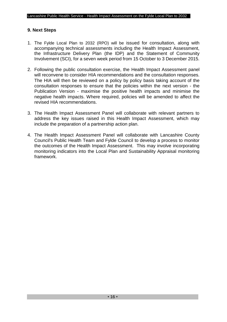#### **9. Next Steps**

- 1. The Fylde Local Plan to 2032 (RPO) will be issued for consultation, along with accompanying technical assessments including the Health Impact Assessment, the Infrastructure Delivery Plan (the IDP) and the Statement of Community Involvement (SCI), for a seven week period from 15 October to 3 December 2015.
- 2. Following the public consultation exercise, the Health Impact Assessment panel will reconvene to consider HIA recommendations and the consultation responses. The HIA will then be reviewed on a policy by policy basis taking account of the consultation responses to ensure that the policies within the next version - the Publication Version - maximise the positive health impacts and minimise the negative health impacts. Where required, policies will be amended to affect the revised HIA recommendations.
- 3. The Health Impact Assessment Panel will collaborate with relevant partners to address the key issues raised in this Health Impact Assessment, which may include the preparation of a partnership action plan.
- 4. The Health Impact Assessment Panel will collaborate with Lancashire County Council's Public Health Team and Fylde Council to develop a process to monitor the outcomes of the Health Impact Assessment. This may involve incorporating monitoring indicators into the Local Plan and Sustainability Appraisal monitoring framework.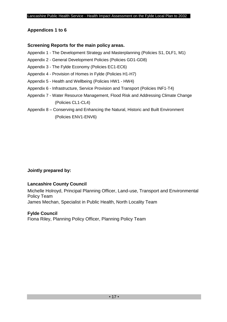## **Appendices 1 to 6**

#### **Screening Reports for the main policy areas.**

- Appendix 1 The Development Strategy and Masterplanning (Policies S1, DLF1, M1)
- Appendix 2 General Development Policies (Policies GD1-GD8)
- Appendix 3 The Fylde Economy (Policies EC1-EC6)
- Appendix 4 Provision of Homes in Fylde (Policies H1-H7)
- Appendix 5 Health and Wellbeing (Policies HW1 HW4)
- Appendix 6 Infrastructure, Service Provision and Transport (Policies INF1-T4)
- Appendix 7 Water Resource Management, Flood Risk and Addressing Climate Change (Policies CL1-CL4)
- Appendix 8 Conserving and Enhancing the Natural, Historic and Built Environment (Policies ENV1-ENV6)

## **Jointly prepared by:**

## **Lancashire County Council**

Michelle Holroyd, Principal Planning Officer, Land-use, Transport and Environmental Policy Team James Mechan, Specialist in Public Health, North Locality Team

## **Fylde Council**

Fiona Riley, Planning Policy Officer, Planning Policy Team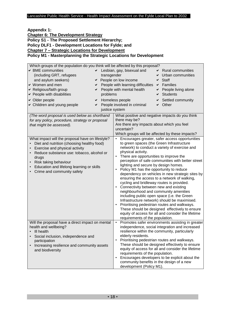**Appendix 1: Chapter 6: The Development Strategy Policy S1 - The Proposed Settlement Hierarchy; Policy DLF1 - Development Locations for Fylde; and Chapter 7 – Strategic Locations for Development Policy M1 - Masterplanning the Strategic Locations for Development**

| Which groups of the population do you think will be affected by this proposal?                                                                                                                                                                                                                                                                                                                |                                                                                                                                                                                                                                                                                                                                                                                                                                                                                                                                                                                                                                                                                                                                                                                                                                                                                                                                                                             |
|-----------------------------------------------------------------------------------------------------------------------------------------------------------------------------------------------------------------------------------------------------------------------------------------------------------------------------------------------------------------------------------------------|-----------------------------------------------------------------------------------------------------------------------------------------------------------------------------------------------------------------------------------------------------------------------------------------------------------------------------------------------------------------------------------------------------------------------------------------------------------------------------------------------------------------------------------------------------------------------------------------------------------------------------------------------------------------------------------------------------------------------------------------------------------------------------------------------------------------------------------------------------------------------------------------------------------------------------------------------------------------------------|
| ← BME communities<br>(including GRT, refugees<br>transgender<br>and asylum seekers)<br>↓ Women and men<br>✔<br>► Religious/faith group<br>► People with disabilities<br>problems<br>← Older people<br>✔<br>► Children and young people<br>✔<br>justice system<br>(The word proposal is used below as shorthand<br>for any policy, procedure, strategy or proposal<br>that might be assessed). | Lesbian, gay, bisexual and<br><b>Rural communities</b><br>Urban communities<br>← People on low income<br><b>Staff</b><br>✔<br>People with learning difficulties<br>$\vee$ Families<br>People with mental health<br>$\triangleright$ People living alone<br>$\vee$ Students<br>Homeless people<br>Settled community<br>People involved in criminal<br>Other<br>✔<br>What positive and negative impacts do you think<br>there may be?<br>Are there any impacts about which you feel<br>uncertain?                                                                                                                                                                                                                                                                                                                                                                                                                                                                             |
| What impact will the proposal have on lifestyle?<br>Diet and nutrition (choosing healthy food)<br>Exercise and physical activity<br>Reduce substance use: tobacco, alcohol or<br>drugs<br>Risk taking behaviour<br>$\bullet$<br>Education and lifelong learning or skills<br>Crime and community safety                                                                                       | Which groups will be affected by these impacts?<br>Encourages greater, safer access opportunities<br>to green spaces (the Green Infrastructure<br>network) to conduct a variety of exercise and<br>physical activity.<br>There are opportunities to improve the<br>perception of safe communities with better street<br>lighting and secure by design homes.<br>Policy M1 has the opportunity to reduce<br>$\bullet$<br>dependency on vehicles in new strategic sites by<br>ensuring the access to a network of walking,<br>cycling and bridleway routes is provided.<br>Connectivity between new and existing<br>$\bullet$<br>neighbourhood and community amenities<br>including public open space (i.e. the Green<br>Infrastructure network) should be maximised.<br>Prioritising pedestrian routes and walkways.<br>$\bullet$<br>These should be designed effectively to ensure<br>equity of access for all and consider the lifetime<br>requirements of the population. |
| Will the proposal have a direct impact on mental<br>health and wellbeing?<br>• Ill health<br>Social inclusion, independence and<br>participation<br>Increasing resilience and community assets<br>and biodiversity                                                                                                                                                                            | $\bullet$<br>Promotes safer environments assisting in greater<br>independence, social integration and increased<br>resilience within the community, particularly<br>elderly residents.<br>Prioritising pedestrian routes and walkways.<br>$\bullet$<br>These should be designed effectively to ensure<br>equity of access for all and consider the lifetime<br>requirements of the population.<br>Encourages developers to be explicit about the<br>$\bullet$<br>community benefits in the design of a new<br>development (Policy M1).                                                                                                                                                                                                                                                                                                                                                                                                                                      |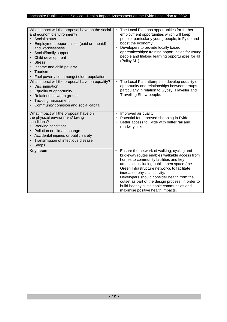| What impact will the proposal have on the social<br>and economic environment?<br>Social status<br>Employment opportunities (paid or unpaid)<br>and worklessness<br>Social/family support<br>Child development<br><b>Stress</b><br>Income and child poverty<br>Tourism<br>Fuel poverty i.e. amongst older population | The Local Plan has opportunities for further<br>$\bullet$<br>employment opportunities which will keep<br>people, particularly young people, in Fylde and<br>boost the economy.<br>Developers to provide locally based<br>apprenticeships/ training opportunities for young<br>people and lifelong learning opportunities for all<br>(Policy M1).                                                                                                                                  |
|---------------------------------------------------------------------------------------------------------------------------------------------------------------------------------------------------------------------------------------------------------------------------------------------------------------------|-----------------------------------------------------------------------------------------------------------------------------------------------------------------------------------------------------------------------------------------------------------------------------------------------------------------------------------------------------------------------------------------------------------------------------------------------------------------------------------|
| What impact will the proposal have on equality?<br>Discrimination<br>Equality of opportunity<br>Relations between groups<br><b>Tackling harassment</b><br>Community cohesion and social capital                                                                                                                     | The Local Plan attempts to develop equality of<br>$\bullet$<br>opportunity and relationships between groups<br>particularly in relation to Gypsy, Traveller and<br>Travelling Show-people.                                                                                                                                                                                                                                                                                        |
| What impact will the proposal have on<br>the physical environment/ Living<br>conditions?<br>Working conditions<br>Pollution or climate change<br>Accidental injuries or public safety<br>Transmission of infectious disease<br>Shops                                                                                | Improved air quality.<br>Potential for improved shopping in Fylde.<br>Better access to Fylde with better rail and<br>roadway links.                                                                                                                                                                                                                                                                                                                                               |
| <b>Key Issue</b>                                                                                                                                                                                                                                                                                                    | Ensure the network of walking, cycling and<br>$\bullet$<br>bridleway routes enables walkable access from<br>homes to community facilities and key<br>amenities including public open space (the<br>Green Infrastructure network), to facilitate<br>increased physical activity.<br>Developers should consider health from the<br>$\bullet$<br>outset as part of the design process, in order to<br>build healthy sustainable communities and<br>maximise positive health impacts. |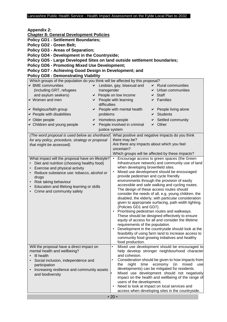| <b>Appendix 2:</b><br><b>Chapter 8: General Development Policies</b><br><b>Policy GD1 - Settlement Boundaries;</b><br>Policy GD2 - Green Belt;<br><b>Policy GD3 - Areas of Separation;</b><br><b>Policy GD4 - Development in the Countryside;</b><br>Policy GD5 - Large Developed Sites on land outside settlement boundaries;<br><b>Policy GD6 - Promoting Mixed Use Development;</b><br>Policy GD7 - Achieving Good Design in Development; and<br><b>Policy GD8 - Demonstrating Viability</b>  |                                                                                                                                                                                                                                                                                                                                                                                                                                                                                                                                                                                                                                                                                                                                                                                                                                                                                                                                                                                                                                                                                                                                                             |
|--------------------------------------------------------------------------------------------------------------------------------------------------------------------------------------------------------------------------------------------------------------------------------------------------------------------------------------------------------------------------------------------------------------------------------------------------------------------------------------------------|-------------------------------------------------------------------------------------------------------------------------------------------------------------------------------------------------------------------------------------------------------------------------------------------------------------------------------------------------------------------------------------------------------------------------------------------------------------------------------------------------------------------------------------------------------------------------------------------------------------------------------------------------------------------------------------------------------------------------------------------------------------------------------------------------------------------------------------------------------------------------------------------------------------------------------------------------------------------------------------------------------------------------------------------------------------------------------------------------------------------------------------------------------------|
| Which groups of the population do you think will be affected by this proposal?<br>$\triangleright$ BME communities<br>✔<br>(including GRT, refugees<br>transgender<br>and asylum seekers)<br>↓ Women and men<br>✔<br>difficulties<br>► Religious/faith group<br>✔<br>► People with disabilities<br>problems<br>$\vee$ Older people<br>✔<br>← Children and young people<br>✔                                                                                                                      | Lesbian, gay, bisexual and<br><b>Rural communities</b><br>Urban communities<br>$\triangleright$ People on low income<br><b>Staff</b><br>✔<br>People with learning<br>Families<br>✔<br>People with mental health<br>$\vee$ People living alone<br><b>Students</b><br>✔<br>Homeless people<br>Settled community<br>People involved in criminal<br>$\vee$ Other                                                                                                                                                                                                                                                                                                                                                                                                                                                                                                                                                                                                                                                                                                                                                                                                |
| justice system<br>(The word proposal is used below as shorthand<br>for any policy, procedure, strategy or proposal<br>that might be assessed).<br>What impact will the proposal have on lifestyle?<br>Diet and nutrition (choosing healthy food)<br>Exercise and physical activity<br>Reduce substance use: tobacco, alcohol or<br>$\bullet$<br>drugs<br>Risk taking behaviour<br>$\bullet$<br>Education and lifelong learning or skills<br>$\bullet$<br>Crime and community safety<br>$\bullet$ | What positive and negative impacts do you think<br>there may be?<br>Are there any impacts about which you feel<br>uncertain?<br>Which groups will be affected by these impacts?<br>Encourage access to green spaces (the Green<br>Infrastructure network) and community use of land<br>when developing brownfield sites.<br>Mixed use development should be encouraged<br>$\bullet$<br>provide pedestrian and cycle friendly<br>environments through the provision of easily<br>accessible and safe walking and cycling routes.<br>The design of these access routes should<br>consider the needs of all, e.g. young children, the<br>disabled, the elderly, with particular consideration<br>given to appropriate surfacing, path width lighting.<br>(Policies GD1 and GD7).<br>Prioritising pedestrian routes and walkways.<br>These should be designed effectively to ensure<br>equity of access for all and consider the lifetime<br>requirements of the population.<br>Development in the countryside should look at the<br>feasibility of using farm land to increase access to<br>community food growing initiatives and healthy<br>food production. |
| Will the proposal have a direct impact on<br>mental health and wellbeing?<br>III health<br>Social inclusion, independence and<br>participation<br>Increasing resilience and community assets<br>$\bullet$<br>and biodiversity                                                                                                                                                                                                                                                                    | Mixed use development should be encouraged to<br>$\bullet$<br>help develop stronger neighbourhood character<br>and cohesion.<br>Consideration should be given to how impacts from<br>$\bullet$<br>night<br>time<br>economy<br>mixed<br>the<br>(in<br>use<br>developments) can be mitigated for residents.<br>Mixed use development should not negatively<br>impact on the health and wellbeing of the range of<br>users of the development.<br>Need to look at impact on local services and<br>access when developing sites in the countryside.                                                                                                                                                                                                                                                                                                                                                                                                                                                                                                                                                                                                             |
|                                                                                                                                                                                                                                                                                                                                                                                                                                                                                                  | $\cdot$ 20 $\cdot$                                                                                                                                                                                                                                                                                                                                                                                                                                                                                                                                                                                                                                                                                                                                                                                                                                                                                                                                                                                                                                                                                                                                          |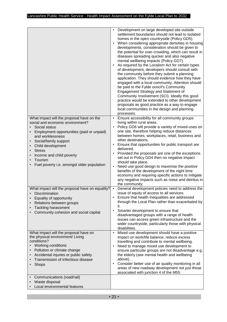|                                                                                                                                                                                                                                                                                                                     | Development on large developed site outside<br>settlement boundaries should not lead to isolated<br>homes in the open countryside (Policy GD5).<br>When considering appropriate densities in housing<br>٠<br>developments, consideration should be given to<br>the potential for over-crowding, which can result in<br>diseases spreading quicker and also negative<br>mental wellbeing impacts (Policy GD7).<br>As required by the Localism Act for certain types<br>$\bullet$<br>of development, developers should consult with<br>the community before they submit a planning<br>application. They should evidence how they have<br>engaged with a local community. Attention should<br>be paid to the Fylde ouncil's Community<br>Engagement Strategy and Statement of<br>Community Involvement (SCI). Ideally this good<br>practice would be extended to other development<br>proposals as good practice as a way to engage<br>local communities in the design and planning<br>processes. |
|---------------------------------------------------------------------------------------------------------------------------------------------------------------------------------------------------------------------------------------------------------------------------------------------------------------------|------------------------------------------------------------------------------------------------------------------------------------------------------------------------------------------------------------------------------------------------------------------------------------------------------------------------------------------------------------------------------------------------------------------------------------------------------------------------------------------------------------------------------------------------------------------------------------------------------------------------------------------------------------------------------------------------------------------------------------------------------------------------------------------------------------------------------------------------------------------------------------------------------------------------------------------------------------------------------------------------|
| What impact will the proposal have on the<br>social and economic environment?<br>Social status<br>Employment opportunities (paid or unpaid)<br>and worklessness<br>Social/family support<br>Child development<br><b>Stress</b><br>Income and child poverty<br>Tourism<br>Fuel poverty i.e. amongst older population | Ensure accessibility for all community groups<br>٠<br>living within rural areas.<br>Policy GD6 will provide a variety of mixed-uses on<br>$\bullet$<br>one site, therefore helping reduce distances<br>between homes, workplaces, retail, business and<br>other destinations.<br>Ensure that opportunities for public transport are<br>delivered.<br>Provided the proposals are one of the exceptions<br>٠<br>set out in Policy GD4 then no negative impact<br>should take place.<br>Need use good design to maximise the positive<br>benefits of the development of the night time<br>economy and requiring specific actions to mitigate<br>any negative impacts such as noise and detritus in<br>the community.                                                                                                                                                                                                                                                                              |
| What impact will the proposal have on equality?<br>Discrimination<br>Equality of opportunity<br>Relations between groups<br><b>Tackling harassment</b><br>Community cohesion and social capital                                                                                                                     | General development policies need to address the<br>$\bullet$<br>issue of equity of access to all services.<br>• Ensure that health inequalities are addressed<br>through the Local Plan rather than exacerbated by<br>it.<br>Smarter development to ensure that<br>$\bullet$<br>disadvantaged groups with a range of health<br>issues can access green infrastructure and the<br>wider countryside, particularly those with physical<br>disabilities.                                                                                                                                                                                                                                                                                                                                                                                                                                                                                                                                         |
| What impact will the proposal have on<br>the physical environment/ Living<br>conditions?<br>Working conditions<br>Pollution or climate change<br>Accidental injuries or public safety<br>Transmission of infectious disease<br>Shops                                                                                | Mixed use development should have a positive<br>$\bullet$<br>impact on work/life balance, reduce excess<br>travelling and contribute to mental wellbeing.<br>Need to manage mixed use development to<br>$\bullet$<br>ensure particular groups are not disadvantage e.g.<br>the elderly (see mental health and wellbeing<br>above).<br>Consider better use of air quality monitoring in all<br>٠<br>areas of new roadway development not just those<br>associated with junction 4 of the M55.                                                                                                                                                                                                                                                                                                                                                                                                                                                                                                   |
| Communications (road/rail)<br>Waste disposal<br>Local environmental features                                                                                                                                                                                                                                        |                                                                                                                                                                                                                                                                                                                                                                                                                                                                                                                                                                                                                                                                                                                                                                                                                                                                                                                                                                                                |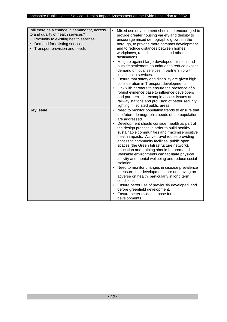| Will there be a change in demand for, access<br>to and quality of health services?<br>Proximity to existing health services<br>Demand for existing services<br>$\bullet$<br>Transport provision and needs | $\bullet$<br>Mixed use development should be encouraged to<br>provide greater housing variety and density to<br>encourage mixed demographic growth in the<br>borough, to provide more compact development<br>and to reduce distances between homes,<br>workplaces, retail businesses and other<br>destinations.<br>Mitigate against large developed sites on land<br>$\bullet$<br>outside settlement boundaries to reduce excess<br>demand on local services in partnership with<br>local health services.<br>Ensure that safety and disability are given high<br>consideration in Transport developments.<br>Link with partners to ensure the presence of a<br>$\bullet$<br>robust evidence base to influence developers<br>and partners - for example access issues at<br>railway stations and provision of better security<br>lighting in isolated public areas.                                                                       |
|-----------------------------------------------------------------------------------------------------------------------------------------------------------------------------------------------------------|-------------------------------------------------------------------------------------------------------------------------------------------------------------------------------------------------------------------------------------------------------------------------------------------------------------------------------------------------------------------------------------------------------------------------------------------------------------------------------------------------------------------------------------------------------------------------------------------------------------------------------------------------------------------------------------------------------------------------------------------------------------------------------------------------------------------------------------------------------------------------------------------------------------------------------------------|
| <b>Key Issue</b>                                                                                                                                                                                          | Need to monitor population trends to ensure that<br>$\bullet$<br>the future demographic needs of the population<br>are addressed.<br>Development should consider health as part of<br>$\bullet$<br>the design process in order to build healthy<br>sustainable communities and maximise positive<br>health impacts. Active travel routes providing<br>access to community facilities, public open<br>spaces (the Green Infrastructure network),<br>education and training should be promoted.<br>Walkable environments can facilitate physical<br>activity and mental wellbeing and reduce social<br>isolation.<br>Need to monitor changes in disease prevalence<br>to ensure that developments are not having an<br>adverse on health, particularly in long term<br>conditions.<br>Ensure better use of previously developed land<br>$\bullet$<br>before greenfield development.<br>Ensure better evidence base for all<br>developments. |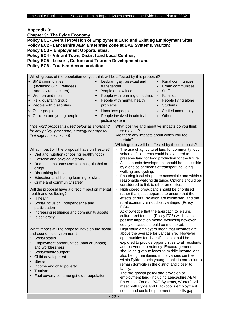**Appendix 3:** 

**Chapter 9: The Fylde Economy**

**Policy EC1 -Overall Provision of Employment Land and Existing Employment Sites; Policy EC2 - Lancashire AEM Enterprise Zone at BAE Systems, Warton;** 

**Policy EC3 – Employment Opportunities;** 

**Policy EC4 - Vibrant Town, District and Local Centres;** 

**Policy EC5 - Leisure, Culture and Tourism Development; and** 

**Policy EC6 - Tourism Accommodation** 

| Which groups of the population do you think will be affected by this proposal? |                                                                                                     |
|--------------------------------------------------------------------------------|-----------------------------------------------------------------------------------------------------|
| ← BME communities                                                              | Lesbian, gay, bisexual and<br><b>Rural communities</b>                                              |
| (including GRT, refugees<br>transgender                                        | Urban communities<br>✔                                                                              |
| and asylum seekers)                                                            | ← People on low income<br><b>Staff</b><br>✔                                                         |
| $\vee$ Women and men<br>✔                                                      | People with learning difficulties<br>$\vee$ Families                                                |
| ► Religious/faith group<br>✔                                                   | People with mental health<br>People living alone                                                    |
| $\triangleright$ People with disabilities<br>problems                          | <b>Students</b>                                                                                     |
|                                                                                |                                                                                                     |
| $\vee$ Older people<br>✔                                                       | Homeless people<br>Settled community                                                                |
| ► Children and young people<br>✔                                               | People involved in criminal<br><b>Others</b><br>✔                                                   |
| justice system                                                                 |                                                                                                     |
| (The word proposal is used below as shorthand                                  | What positive and negative impacts do you think                                                     |
| for any policy, procedure, strategy or proposal                                | there may be?                                                                                       |
| that might be assessed)                                                        | Are there any impacts about which you feel                                                          |
|                                                                                | uncertain?                                                                                          |
|                                                                                | Which groups will be affected by these impacts?                                                     |
| What impact will the proposal have on lifestyle?                               | The use of agricultural land for community food                                                     |
| Diet and nutrition (choosing healthy food)                                     | schemes/allotments could be explored to                                                             |
| Exercise and physical activity<br>$\bullet$                                    | preserve land for food production for the future.                                                   |
| Reduce substance use: tobacco, alcohol or                                      | All economic development should be accessible                                                       |
| drugs                                                                          | by a choice of means of transport including                                                         |
| Risk taking behaviour                                                          | walking and cycling.                                                                                |
| Education and lifelong learning or skills                                      | Ensuring local shops are accessible and within a                                                    |
| Crime and community safety<br>$\bullet$                                        | reasonable walking distance. Options should be                                                      |
| Will the proposal have a direct impact on mental                               | considered to link to other amenities.<br>High speed broadband should be prioritised<br>$\bullet$   |
| health and wellbeing?                                                          | rather than just supported to ensure that the                                                       |
| III health                                                                     | effects of rural isolation are minimised, and the                                                   |
| Social inclusion, independence and                                             | rural economy is not disadvantaged (Policy                                                          |
| participation                                                                  | EC4).                                                                                               |
| Increasing resilience and community assets                                     | Acknowledge that the approach to leisure,                                                           |
| biodiversity<br>$\bullet$                                                      | culture and tourism (Policy EC5) will have a                                                        |
|                                                                                | positive impact on mental wellbeing however                                                         |
|                                                                                | equity of access should be monitored.                                                               |
| What impact will the proposal have on the social                               | High value employers mean that incomes are<br>$\bullet$                                             |
| and economic environment?                                                      | above the average for Lancashire. However                                                           |
| Social status                                                                  | opportunities for diversification should be                                                         |
| Employment opportunities (paid or unpaid)                                      | explored to provide opportunities to all residents                                                  |
| and worklessness                                                               | and prevent dependency. Encouragement                                                               |
| Social/family support<br>$\bullet$                                             | should be given to lower to middle income jobs                                                      |
| Child development                                                              | also being maintained in the various centres                                                        |
| <b>Stress</b>                                                                  | within Fylde to help young people in particular to<br>remain domicile in the district and closer to |
| Income and child poverty                                                       | family.                                                                                             |
| Tourism                                                                        | The pro-growth policy and provision of<br>$\bullet$                                                 |
| Fuel poverty i.e. amongst older population                                     | employment land (including Lancashire AEM                                                           |
|                                                                                | Enterprise Zone at BAE Systems, Warton) will                                                        |
|                                                                                | meet both Fylde and Blackpool's employment                                                          |
|                                                                                | needs and could help to meet the skills gap                                                         |
|                                                                                |                                                                                                     |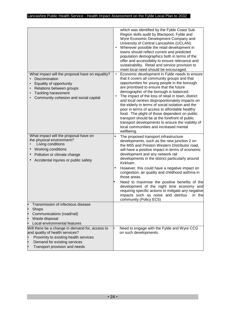|                                                                                                                                                                                                                                                                              | which was identified by the Fylde Coast Sub<br>Region skills audit by Blackpool, Fylde and<br>Wyre Economic Development Company and<br>University of Central Lancashire (UCLAN).<br>Wherever possible the retail development in<br>towns should reflect current and predicted<br>population demographics both in terms of the<br>offer and accessibility to ensure relevance and<br>sustainability. Retail and service provision to<br>meet local need should be encouraged.                                                                                                                                                                                                                   |
|------------------------------------------------------------------------------------------------------------------------------------------------------------------------------------------------------------------------------------------------------------------------------|------------------------------------------------------------------------------------------------------------------------------------------------------------------------------------------------------------------------------------------------------------------------------------------------------------------------------------------------------------------------------------------------------------------------------------------------------------------------------------------------------------------------------------------------------------------------------------------------------------------------------------------------------------------------------------------------|
| What impact will the proposal have on equality?<br>Discrimination<br>Equality of opportunity<br>Relations between groups<br><b>Tackling harassment</b><br>Community cohesion and social capital                                                                              | Economic development in Fylde needs to ensure<br>$\bullet$<br>that it covers all community groups and that<br>opportunities for young people in the borough<br>are prioritised to ensure that the future<br>demographic of the borough is balanced.<br>The impact of the loss of retail in town, district<br>$\bullet$<br>and local centres disproportionately impacts on<br>the elderly in terms of social isolation and the<br>poor in terms of access to affordable healthy<br>food. The plight of those dependent on public<br>transport should be at the forefront of public<br>transport developments to ensure the viability of<br>local communities and increased mental<br>wellbeing. |
| What impact will the proposal have on<br>the physical environment?<br>Living conditions<br>Working conditions<br>Pollution or climate change<br>Accidental injuries or public safety                                                                                         | The proposed transport infrastructure<br>developments, such as the new junction 2 on<br>the M55 and Preston Western Distributor road,<br>will have a positive impact in terms of economic<br>development and any network rail<br>developments in the district particularly around<br>Kirkham.<br>However, this could have a negative impact on<br>congestion, air quality and childhood asthma in<br>those areas.<br>Need to maximise the positive benefits of the<br>development of the night time economy and<br>requiring specific actions to mitigate any negative<br>impacts such as noise and detritus<br>in the<br>community (Policy EC5)                                               |
| Transmission of infectious disease<br>Shops<br>$\bullet$<br>Communications (road/rail)<br>ŀ<br>Waste disposal<br>Local environmental features<br>Will there be a change in demand for, access to<br>and quality of health services?<br>Proximity to existing health services | Need to engage with the Fylde and Wyre CCG<br>on such developments.                                                                                                                                                                                                                                                                                                                                                                                                                                                                                                                                                                                                                            |
| Demand for existing services<br>Transport provision and needs                                                                                                                                                                                                                |                                                                                                                                                                                                                                                                                                                                                                                                                                                                                                                                                                                                                                                                                                |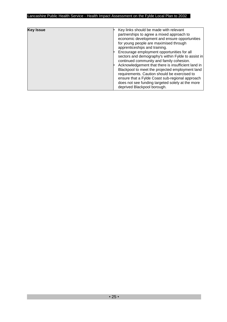| <b>Key Issue</b> | Key links should be made with relevant<br>partnerships to agree a mixed approach to<br>economic development and ensure opportunities<br>for young people are maximised through<br>apprenticeships and training.<br>Encourage employment opportunities for all<br>sectors and demography's within Fylde to assist in<br>continued community and family cohesion.<br>Acknowledgement that there is insufficient land in<br>Blackpool to meet the projected employment land<br>requirements. Caution should be exercised to<br>ensure that a Fylde Coast sub-regional approach<br>does not see funding targeted solely at the more<br>deprived Blackpool borough. |
|------------------|----------------------------------------------------------------------------------------------------------------------------------------------------------------------------------------------------------------------------------------------------------------------------------------------------------------------------------------------------------------------------------------------------------------------------------------------------------------------------------------------------------------------------------------------------------------------------------------------------------------------------------------------------------------|
|------------------|----------------------------------------------------------------------------------------------------------------------------------------------------------------------------------------------------------------------------------------------------------------------------------------------------------------------------------------------------------------------------------------------------------------------------------------------------------------------------------------------------------------------------------------------------------------------------------------------------------------------------------------------------------------|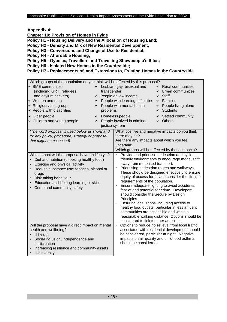**Appendix 4**:

**Chapter 10: Provision of Homes in Fylde**

**Policy H1 - Housing Delivery and the Allocation of Housing Land;** 

**Policy H2 - Density and Mix of New Residential Development;** 

**Policy H3 - Conversions and Change of Use to Residential;** 

**Policy H4 - Affordable Housing;** 

**Policy H5 - Gypsies, Travellers and Travelling Showpeople's Sites;** 

**Policy H6 - Isolated New Homes in the Countryside;** 

#### **Policy H7 - Replacements of, and Extensions to, Existing Homes in the Countryside**

| Which groups of the population do you think will be affected by this proposal?<br>$\vee$ BME communities<br>(including GRT, refugees<br>and asylum seekers)<br>↓ Women and men<br>✔<br>► Religious/faith group<br>✔<br>► People with disabilities<br>◆ Older people<br>✔<br>► Children and young people<br>✔ | Lesbian, gay, bisexual and<br><b>Rural communities</b><br>✔<br>transgender<br>Urban communities<br>← People on low income<br>Staff<br>✔<br>People with learning difficulties<br><b>Families</b><br>✔<br>People with mental health<br>People living alone<br>✔<br><b>Students</b><br>problems<br>✔<br>Homeless people<br>Settled community<br>✔<br>People involved in criminal<br><b>Others</b><br>✔<br>justice system                                                                                                                                                                                                                                                                                                     |
|--------------------------------------------------------------------------------------------------------------------------------------------------------------------------------------------------------------------------------------------------------------------------------------------------------------|---------------------------------------------------------------------------------------------------------------------------------------------------------------------------------------------------------------------------------------------------------------------------------------------------------------------------------------------------------------------------------------------------------------------------------------------------------------------------------------------------------------------------------------------------------------------------------------------------------------------------------------------------------------------------------------------------------------------------|
| (The word proposal is used below as shorthand<br>for any policy, procedure, strategy or proposal<br>that might be assessed).                                                                                                                                                                                 | What positive and negative impacts do you think<br>there may be?<br>Are there any impacts about which you feel<br>uncertain?<br>Which groups will be affected by these impacts?                                                                                                                                                                                                                                                                                                                                                                                                                                                                                                                                           |
| What impact will the proposal have on lifestyle?<br>Diet and nutrition (choosing healthy food)<br>Exercise and physical activity<br>Reduce substance use: tobacco, alcohol or<br>drugs<br>Risk taking behaviour<br>Education and lifelong learning or skills<br>Crime and community safety                   | Provide and prioritise pedestrian and cycle<br>friendly environments to encourage modal shift<br>away from motorised transport.<br>Prioritising pedestrian routes and walkways.<br>These should be designed effectively to ensure<br>equity of access for all and consider the lifetime<br>requirements of the population.<br>Ensure adequate lighting to avoid accidents,<br>fear of and potential for crime. Developers<br>should consider the Secure by Design<br>Principles.<br>Ensuring local shops, including access to<br>healthy food outlets, particular in less affluent<br>communities are accessible and within a<br>reasonable walking distance. Options should be<br>considered to link to other amenities. |
| Will the proposal have a direct impact on mental<br>health and wellbeing?<br>III health<br>Social inclusion, independence and<br>participation<br>Increasing resilience and community assets<br>biodiversity                                                                                                 | Options to reduce noise level from local traffic<br>associated with residential development should<br>be considered, particular at night. Negative<br>impacts on air quality and childhood asthma<br>should be considered.                                                                                                                                                                                                                                                                                                                                                                                                                                                                                                |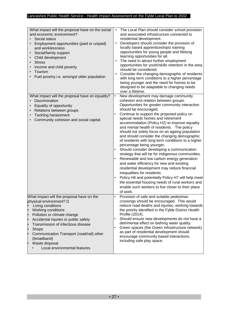| What impact will the proposal have on the social<br>and economic environment?<br>Social status<br>Employment opportunities (paid or unpaid)<br>and worklessness<br>Social/family support<br>$\bullet$<br>Child development<br><b>Stress</b><br>Income and child poverty<br>Tourism<br>Fuel poverty i.e. amongst older population                                         | The Local Plan should consider school provision<br>and associated infrastructure connected to<br>residential development.<br>Developers should consider the provision of<br>locally based apprenticeships/training<br>opportunities for young people and lifelong<br>learning opportunities for all.<br>The need to attract further employment<br>opportunities for youth/skills retention in the area<br>should be considered.<br>Consider the changing demographic of residents<br>with long term conditions to a higher percentage<br>being younger and the need for homes to be<br>designed to be adaptable to changing needs<br>over a lifetime.                                                                                                                                                                                                                                                                                                                                                                |
|--------------------------------------------------------------------------------------------------------------------------------------------------------------------------------------------------------------------------------------------------------------------------------------------------------------------------------------------------------------------------|----------------------------------------------------------------------------------------------------------------------------------------------------------------------------------------------------------------------------------------------------------------------------------------------------------------------------------------------------------------------------------------------------------------------------------------------------------------------------------------------------------------------------------------------------------------------------------------------------------------------------------------------------------------------------------------------------------------------------------------------------------------------------------------------------------------------------------------------------------------------------------------------------------------------------------------------------------------------------------------------------------------------|
| What impact will the proposal have on equality?<br>Discrimination<br>$\bullet$<br>Equality of opportunity<br>Relations between groups<br>$\bullet$<br><b>Tackling harassment</b><br>Community cohesion and social capital                                                                                                                                                | New development may damage community<br>$\bullet$<br>cohesion and relation between groups.<br>Opportunities for greater community interaction<br>should be encouraged.<br>Continue to support the proposed policy on<br>special needs homes and retirement<br>accommodation (Policy H2) to improve equality<br>and mental health of residents. The policy<br>should not solely focus on an ageing population<br>and should consider the changing demographic<br>of residents with long term conditions to a higher<br>percentage being younger.<br>Should consider developing a communication<br>$\bullet$<br>strategy that will be for indigenous communities.<br>Renewable and low carbon energy generation<br>and water efficiency for new and existing<br>residential development may reduce financial<br>inequalities for residents.<br>Policy H6 and potentially Policy H7 will help meet<br>the essential housing needs of rural workers and<br>enable such workers to live closer to their place<br>of work. |
| What impact will the proposal have on the<br>physical environment? D<br>Living conditions<br>Working conditions<br>Pollution or climate change<br>Accidental injuries or public safety<br>ŀ<br>Transmission of infectious disease<br>l•<br>Shops<br>þ<br>Communication Transport (road/rail) other<br>ŀ<br>(broadband)<br>Waste disposal<br>Local environmental features | Provision of safe and suitable pedestrian<br>$\bullet$<br>crossings should be encouraged. This would<br>reduce road deaths and injuries, working towards<br>the priority identified in the Fylde District Health<br>Profile (2014).<br>Should ensure new developments do not have a<br>detrimental effect on bathing water quality.<br>Green spaces (the Green Infrastructure network)<br>as part of residential development should<br>encourage community based interactions,<br>including safe play space.                                                                                                                                                                                                                                                                                                                                                                                                                                                                                                         |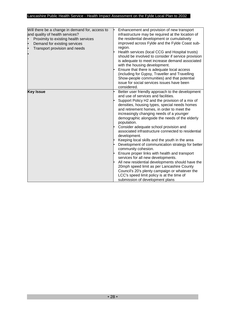| Will there be a change in demand for, access to<br>and quality of health services?<br>Proximity to existing health services<br>Demand for existing services<br>Transport provision and needs | Enhancement and provision of new transport<br>infrastructure may be required at the location of<br>the residential development or cumulatively<br>improved across Fylde and the Fylde Coast sub-<br>region.<br>Health services (local CCG and Hospital trusts)<br>should be involved to consider if service provision<br>is adequate to meet increase demand associated<br>with the housing development.<br>Ensure that there is adequate local access<br>(including for Gypsy, Traveller and Travelling<br>Show-people communities) and that potential<br>issue for social services issues have been<br>considered.                                                                                                                                                                                                                                                                                                            |
|----------------------------------------------------------------------------------------------------------------------------------------------------------------------------------------------|---------------------------------------------------------------------------------------------------------------------------------------------------------------------------------------------------------------------------------------------------------------------------------------------------------------------------------------------------------------------------------------------------------------------------------------------------------------------------------------------------------------------------------------------------------------------------------------------------------------------------------------------------------------------------------------------------------------------------------------------------------------------------------------------------------------------------------------------------------------------------------------------------------------------------------|
| <b>Key Issue</b>                                                                                                                                                                             | Better user friendly approach to the development<br>and use of services and facilities.<br>Support Policy H2 and the provision of a mix of<br>densities, housing types, special needs homes<br>and retirement homes, in order to meet the<br>increasingly changing needs of a younger<br>demographic alongside the needs of the elderly<br>population.<br>Consider adequate school provision and<br>associated infrastructure connected to residential<br>development.<br>Keeping local skills and the youth in the area<br>Development of communication strategy for better<br>community cohesion.<br>Ensure proper links with health and transport<br>services for all new developments.<br>All new residential developments should have the<br>20mph speed limit as per Lancashire County<br>Council's 20's plenty campaign or whatever the<br>LCC's speed limit policy is at the time of<br>submission of development plans |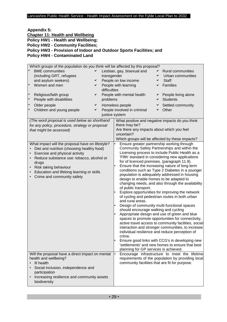| <b>Appendix 5:</b>                                                  |
|---------------------------------------------------------------------|
| <b>Chapter 11: Health and Wellbeing</b>                             |
| Policy HW1 - Health and Wellbeing;                                  |
| <b>Policy HW2 - Community Facilities;</b>                           |
| Policy HW3 - Provision of Indoor and Outdoor Sports Facilities; and |
| <b>Policy HW4 - Contaminated Land</b>                               |

|           | Which groups of the population do you think will be affected by this proposal? |   |                                                 |                                                                                                                                                                                                                  |                                                 |   |                                                   |  |  |
|-----------|--------------------------------------------------------------------------------|---|-------------------------------------------------|------------------------------------------------------------------------------------------------------------------------------------------------------------------------------------------------------------------|-------------------------------------------------|---|---------------------------------------------------|--|--|
|           | <b>BME</b> communities                                                         | ✓ |                                                 |                                                                                                                                                                                                                  | Lesbian, gay, bisexual and                      | ✓ | <b>Rural communities</b>                          |  |  |
|           | (including GRT, refugees                                                       |   | transgender                                     |                                                                                                                                                                                                                  |                                                 | ✔ | Urban communities                                 |  |  |
|           | and asylum seekers)                                                            | ✔ |                                                 |                                                                                                                                                                                                                  | People on low income                            | ✔ | <b>Staff</b>                                      |  |  |
| ✓         | Women and men                                                                  | ✔ |                                                 |                                                                                                                                                                                                                  | People with learning                            | ✔ | Families                                          |  |  |
|           |                                                                                |   | difficulties                                    |                                                                                                                                                                                                                  |                                                 |   |                                                   |  |  |
|           |                                                                                |   |                                                 |                                                                                                                                                                                                                  |                                                 |   |                                                   |  |  |
|           | Religious/faith group                                                          | ✔ |                                                 |                                                                                                                                                                                                                  | People with mental health                       | ✔ | People living alone                               |  |  |
| ✓         | People with disabilities                                                       |   | problems                                        |                                                                                                                                                                                                                  |                                                 |   | <b>Students</b>                                   |  |  |
| ✔         | Older people                                                                   | ✔ |                                                 |                                                                                                                                                                                                                  | Homeless people                                 |   | Settled community                                 |  |  |
| ✔         | Children and young people                                                      | ✔ |                                                 |                                                                                                                                                                                                                  | People involved in criminal                     | ✔ | Other                                             |  |  |
|           |                                                                                |   | justice system                                  |                                                                                                                                                                                                                  |                                                 |   |                                                   |  |  |
|           | (The word proposal is used below as shorthand                                  |   |                                                 |                                                                                                                                                                                                                  |                                                 |   | What positive and negative impacts do you think   |  |  |
|           | for any policy, procedure, strategy or proposal                                |   |                                                 |                                                                                                                                                                                                                  | there may be?                                   |   |                                                   |  |  |
|           | that might be assessed)                                                        |   |                                                 |                                                                                                                                                                                                                  | Are there any impacts about which you feel      |   |                                                   |  |  |
|           |                                                                                |   |                                                 |                                                                                                                                                                                                                  | uncertain?                                      |   |                                                   |  |  |
|           |                                                                                |   |                                                 |                                                                                                                                                                                                                  |                                                 |   | Which groups will be affected by these impacts?   |  |  |
|           | What impact will the proposal have on lifestyle?                               |   |                                                 |                                                                                                                                                                                                                  | Ensure greater partnership working through      |   |                                                   |  |  |
| $\bullet$ | Diet and nutrition (choosing healthy food)                                     |   |                                                 | Community Safety Partnerships and within the                                                                                                                                                                     |                                                 |   |                                                   |  |  |
| $\bullet$ | Exercise and physical activity                                                 |   |                                                 |                                                                                                                                                                                                                  | Licensing process to include Public Health as a |   |                                                   |  |  |
| $\bullet$ | Reduce substance use: tobacco, alcohol or                                      |   |                                                 | 'Fifth' standard in considering new applications                                                                                                                                                                 |                                                 |   |                                                   |  |  |
|           | drugs                                                                          |   |                                                 | for of licenced premises. (paragraph 11.9).                                                                                                                                                                      |                                                 |   |                                                   |  |  |
| $\bullet$ | Risk taking behaviour                                                          |   |                                                 |                                                                                                                                                                                                                  |                                                 |   | Ensure that the increasing nature of long term    |  |  |
| $\bullet$ | Education and lifelong learning or skills                                      |   |                                                 |                                                                                                                                                                                                                  | conditions such as Type 2 Diabetes in a younger |   |                                                   |  |  |
|           | Crime and community safety                                                     |   |                                                 |                                                                                                                                                                                                                  | population is adequately addressed in housing   |   |                                                   |  |  |
|           |                                                                                |   |                                                 | design to enable homes to be adapted to                                                                                                                                                                          |                                                 |   |                                                   |  |  |
|           |                                                                                |   |                                                 | changing needs, and also through the availability                                                                                                                                                                |                                                 |   |                                                   |  |  |
|           |                                                                                |   | of public transport.                            |                                                                                                                                                                                                                  |                                                 |   |                                                   |  |  |
|           |                                                                                |   | Explore opportunities for improving the network |                                                                                                                                                                                                                  |                                                 |   |                                                   |  |  |
|           |                                                                                |   | of cycling and pedestrian routes in both urban  |                                                                                                                                                                                                                  |                                                 |   |                                                   |  |  |
|           |                                                                                |   | and rural areas.                                |                                                                                                                                                                                                                  |                                                 |   |                                                   |  |  |
|           |                                                                                |   |                                                 | Design of community multi-functional spaces                                                                                                                                                                      |                                                 |   |                                                   |  |  |
|           |                                                                                |   |                                                 |                                                                                                                                                                                                                  | should encourage walking and cycling            |   |                                                   |  |  |
|           |                                                                                |   |                                                 |                                                                                                                                                                                                                  |                                                 |   | Appropriate design and use of green and blue      |  |  |
|           |                                                                                |   |                                                 | spaces to promote opportunities for connectivity,<br>active travel access to community facilities, social<br>interaction and stronger communities, to increase<br>individual resilience and reduce perception of |                                                 |   |                                                   |  |  |
|           |                                                                                |   |                                                 |                                                                                                                                                                                                                  |                                                 |   |                                                   |  |  |
|           |                                                                                |   |                                                 |                                                                                                                                                                                                                  |                                                 |   |                                                   |  |  |
|           |                                                                                |   |                                                 |                                                                                                                                                                                                                  | crime.                                          |   |                                                   |  |  |
|           |                                                                                |   |                                                 |                                                                                                                                                                                                                  |                                                 |   | Ensure good links with CCG's in developing new    |  |  |
|           |                                                                                |   |                                                 |                                                                                                                                                                                                                  |                                                 |   | 'settlements' and new homes to ensure that best   |  |  |
|           |                                                                                |   |                                                 |                                                                                                                                                                                                                  | planning for GP services is achieved.           |   |                                                   |  |  |
|           | Will the proposal have a direct impact on mental                               |   |                                                 | $\bullet$                                                                                                                                                                                                        |                                                 |   | Encourage infrastructure to meet the lifetime     |  |  |
|           | health and wellbeing?                                                          |   |                                                 |                                                                                                                                                                                                                  |                                                 |   | requirements of the population by providing local |  |  |
| $\bullet$ | III health                                                                     |   |                                                 |                                                                                                                                                                                                                  | community facilities that are fit for purpose.  |   |                                                   |  |  |
| $\bullet$ | Social inclusion, independence and                                             |   |                                                 |                                                                                                                                                                                                                  |                                                 |   |                                                   |  |  |
|           | participation                                                                  |   |                                                 |                                                                                                                                                                                                                  |                                                 |   |                                                   |  |  |
| $\bullet$ | Increasing resilience and community assets                                     |   |                                                 |                                                                                                                                                                                                                  |                                                 |   |                                                   |  |  |
|           | biodiversity                                                                   |   |                                                 |                                                                                                                                                                                                                  |                                                 |   |                                                   |  |  |
|           |                                                                                |   |                                                 |                                                                                                                                                                                                                  |                                                 |   |                                                   |  |  |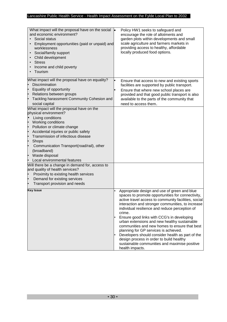| What impact will the proposal have on the social<br>and economic environment?<br>Social status<br>Employment opportunities (paid or unpaid) and<br>worklessness<br>Social/family support<br>$\bullet$<br>Child development<br><b>Stress</b><br>$\bullet$<br>Income and child poverty<br>$\bullet$<br>Tourism                                                        | Policy HW1 seeks to safeguard and<br>encourage the role of allotments and<br>garden plots within developments and small<br>scale agriculture and farmers markets in<br>providing access to healthy, affordable<br>locally produced food options.                                                                                                                                                                                                                                                                                                                                                                                       |
|---------------------------------------------------------------------------------------------------------------------------------------------------------------------------------------------------------------------------------------------------------------------------------------------------------------------------------------------------------------------|----------------------------------------------------------------------------------------------------------------------------------------------------------------------------------------------------------------------------------------------------------------------------------------------------------------------------------------------------------------------------------------------------------------------------------------------------------------------------------------------------------------------------------------------------------------------------------------------------------------------------------------|
| What impact will the proposal have on equality?<br>Discrimination<br>Equality of opportunity<br>ŀ<br>Relations between groups<br>Tackling harassment Community Cohesion and<br>social capital                                                                                                                                                                       | Ensure that access to new and existing sports<br>facilities are supported by public transport.<br>Ensure that where new school places are<br>provided and that good public transport is also<br>available to the parts of the community that<br>need to access them.                                                                                                                                                                                                                                                                                                                                                                   |
| What impact will the proposal have on the<br>physical environment?<br>Living conditions<br>Working conditions<br>Pollution or climate change<br>Accidental injuries or public safety<br>Transmission of infectious disease<br>Shops<br>$\bullet$<br>Communication Transport(road/rail), other<br>(broadband)<br>Waste disposal<br>ŀ<br>Local environmental features |                                                                                                                                                                                                                                                                                                                                                                                                                                                                                                                                                                                                                                        |
| Will there be a change in demand for, access to<br>and quality of health services?<br>Proximity to existing health services<br>Demand for existing services<br>Transport provision and needs                                                                                                                                                                        |                                                                                                                                                                                                                                                                                                                                                                                                                                                                                                                                                                                                                                        |
| <b>Key Issue</b>                                                                                                                                                                                                                                                                                                                                                    | Appropriate design and use of green and blue<br>spaces to promote opportunities for connectivity,<br>active travel access to community facilities, social<br>interaction and stronger communities, to increase<br>individual resilience and reduce perception of<br>crime.<br>Ensure good links with CCG's in developing<br>urban extensions and new healthy sustainable<br>communities and new homes to ensure that best<br>planning for GP services is achieved.<br>Developers should consider health as part of the<br>design process in order to build healthy<br>sustainable communities and maximise positive<br>health impacts. |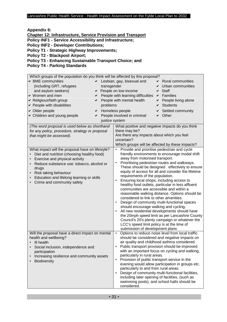**Appendix 6:** 

**Chapter 12: Infrastructure, Service Provision and Transport**

**Policy INF1 - Service Accessibility and Infrastructure;** 

**Policy INF2 - Developer Contributions;** 

**Policy T1 - Strategic Highway Improvements;** 

**Policy T2 - Blackpool Airport;** 

**Policy T3 - Enhancing Sustainable Transport Choice; and** 

**Policy T4 - Parking Standards**

| Which groups of the population do you think will be affected by this proposal? |                                                                                                             |  |  |  |
|--------------------------------------------------------------------------------|-------------------------------------------------------------------------------------------------------------|--|--|--|
| ► BME communities                                                              | $\triangleright$ Lesbian, gay, bisexual and<br><b>Rural communities</b>                                     |  |  |  |
| (including GRT, refugees<br>transgender                                        | Urban communities<br>✔                                                                                      |  |  |  |
| and asylum seekers)                                                            | ← People on low income<br><b>Staff</b><br>✔                                                                 |  |  |  |
| $\vee$ Women and men                                                           | $\triangleright$ People with learning difficulties<br>$\vee$ Families                                       |  |  |  |
| ► Religious/faith group<br>✔                                                   | People with mental health<br>People living alone                                                            |  |  |  |
| ► People with disabilities<br>problems                                         | <b>Students</b>                                                                                             |  |  |  |
| $\vee$ Older people<br>✔                                                       | Homeless people<br>Settled community                                                                        |  |  |  |
| <b>►</b> Children and young people<br>✔<br>justice system                      | People involved in criminal<br>Other<br>✔                                                                   |  |  |  |
|                                                                                |                                                                                                             |  |  |  |
| (The word proposal is used below as shorthand                                  | What positive and negative impacts do you think<br>there may be?                                            |  |  |  |
| for any policy, procedure, strategy or proposal                                | Are there any impacts about which you feel                                                                  |  |  |  |
| that might be assessed).                                                       | uncertain?                                                                                                  |  |  |  |
|                                                                                |                                                                                                             |  |  |  |
|                                                                                | Which groups will be affected by these impacts?<br>Provide and prioritise pedestrian and cycle<br>$\bullet$ |  |  |  |
| What impact will the proposal have on lifestyle?                               | friendly environments to encourage modal shift                                                              |  |  |  |
| Diet and nutrition (choosing healthy food)                                     | away from motorised transport.                                                                              |  |  |  |
| Exercise and physical activity                                                 | Prioritising pedestrian routes and walkways.                                                                |  |  |  |
| Reduce substance use: tobacco, alcohol or<br>$\bullet$                         | These should be designed effectively to ensure                                                              |  |  |  |
| drugs                                                                          | equity of access for all and consider the lifetime                                                          |  |  |  |
| Risk taking behaviour                                                          | requirements of the population.                                                                             |  |  |  |
| Education and lifelong learning or skills                                      | Ensuring local shops, including access to<br>$\bullet$                                                      |  |  |  |
| Crime and community safety                                                     | healthy food outlets, particular in less affluent                                                           |  |  |  |
|                                                                                | communities are accessible and within a                                                                     |  |  |  |
|                                                                                | reasonable walking distance. Options should be                                                              |  |  |  |
|                                                                                | considered to link to other amenities.                                                                      |  |  |  |
|                                                                                | Design of community multi-functional spaces<br>$\bullet$                                                    |  |  |  |
|                                                                                | should encourage walking and cycling.                                                                       |  |  |  |
|                                                                                | All new residential developments should have                                                                |  |  |  |
|                                                                                | the 20mph speed limit as per Lancashire County                                                              |  |  |  |
|                                                                                | Council's 20's plenty campaign or whatever the                                                              |  |  |  |
|                                                                                | LCC's speed limit policy is at the time of                                                                  |  |  |  |
| Will the proposal have a direct impact on mental                               | submission of development plans<br>$\bullet$                                                                |  |  |  |
|                                                                                | Options to reduce noise level from local traffic                                                            |  |  |  |
| health and wellbeing?                                                          | should be considered and negative impacts on<br>air quality and childhood asthma considered.                |  |  |  |
| • Ill health                                                                   | Public transport provision should be improved<br>$\bullet$                                                  |  |  |  |
| Social inclusion, independence and<br>participation                            | with an important focus on cycling and walking,                                                             |  |  |  |
|                                                                                | particularly in rural areas.                                                                                |  |  |  |
| Increasing resilience and community assets<br>Biodiversity                     | Provision of public transport service in the<br>$\bullet$                                                   |  |  |  |
|                                                                                | evening would allow participation in groups etc.                                                            |  |  |  |
|                                                                                | particularly to and from rural areas.                                                                       |  |  |  |
|                                                                                | Design of community multi-functional facilities,<br>$\bullet$                                               |  |  |  |
|                                                                                | including later opening of facilities, (such as                                                             |  |  |  |
|                                                                                | swimming pools), and school halls should be                                                                 |  |  |  |
|                                                                                | considered.                                                                                                 |  |  |  |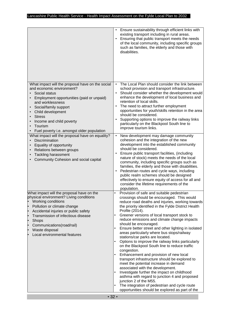|                                                                                                                                                                                                                                                                                                                                               | Ensure sustainability through efficient links with<br>$\bullet$<br>existing transport including in rural areas.<br>Ensuring that public transport meets the needs<br>$\bullet$<br>of the local community, including specific groups<br>such as families, the elderly and those with<br>disabilities.                                                                                                                                                                                                                                                                                                                                                                                                                                                                                                                                                                                                                                                                                                                                                   |
|-----------------------------------------------------------------------------------------------------------------------------------------------------------------------------------------------------------------------------------------------------------------------------------------------------------------------------------------------|--------------------------------------------------------------------------------------------------------------------------------------------------------------------------------------------------------------------------------------------------------------------------------------------------------------------------------------------------------------------------------------------------------------------------------------------------------------------------------------------------------------------------------------------------------------------------------------------------------------------------------------------------------------------------------------------------------------------------------------------------------------------------------------------------------------------------------------------------------------------------------------------------------------------------------------------------------------------------------------------------------------------------------------------------------|
| What impact will the proposal have on the social<br>and economic environment?<br>Social status<br>Employment opportunities (paid or unpaid)<br>and worklessness<br>Social/family support<br>Child development<br><b>Stress</b><br>Income and child poverty<br>$\bullet$<br>Tourism<br>$\bullet$<br>Fuel poverty i.e. amongst older population | The Local Plan should consider the link between<br>$\bullet$<br>school provision and transport infrastructure.<br>Should consider whether the development would<br>$\bullet$<br>enhance the development of local business and<br>retention of local skills.<br>The need to attract further employment<br>$\bullet$<br>opportunities for youth/skills retention in the area<br>should be considered.<br>Supporting options to improve the railway links<br>$\bullet$<br>particularly on the Blackpool South line to<br>improve tourism links.                                                                                                                                                                                                                                                                                                                                                                                                                                                                                                           |
| What impact will the proposal have on equality?<br>Discrimination<br>Equality of opportunity<br>Relations between groups<br><b>Tackling harassment</b><br>Community Cohesion and social capital                                                                                                                                               | New development may damage community<br>$\bullet$<br>cohesion and the integration of the new<br>development into the established community<br>should be considered.<br>Ensure public transport facilities, (including<br>$\bullet$<br>nature of stock) meets the needs of the local<br>community, including specific groups such as<br>families, the elderly and those with disabilities.<br>Pedestrian routes and cycle ways, including<br>$\bullet$<br>public realm schemes should be designed<br>effectively to ensure equity of access for all and<br>consider the lifetime requirements of the<br>population.                                                                                                                                                                                                                                                                                                                                                                                                                                     |
| What impact will the proposal have on the<br>physical environment? Living conditions<br>Working conditions<br>Pollution or climate change<br>Accidental injuries or public safety<br>Transmission of infectious disease<br>Shops<br>Communications(road/rail)<br>Waste disposal<br>Local environmental features                               | Provision of safe and suitable pedestrian<br>$\bullet$<br>crossings should be encouraged. This would<br>reduce road deaths and injuries, working towards<br>the priority identified in the Fylde District Health<br>Profile (2014).<br>Greener versions of local transport stock to<br>٠<br>reduce emissions and climate change impacts<br>should be encouraged.<br>Ensure better street and other lighting in isolated<br>areas particularly where bus stops/railway<br>stations/car parks are located.<br>Options to improve the railway links particularly<br>on the Blackpool South line to reduce traffic<br>congestion.<br>Enhancement and provision of new local<br>$\bullet$<br>transport infrastructure should be explored to<br>meet the potential increase in demand<br>associated with the development.<br>Investigate further the impact on childhood<br>٠<br>asthma with regard to junction 4 and proposed<br>junction 2 of the M55.<br>The integration of pedestrian and cycle route<br>opportunities should be explored as part of the |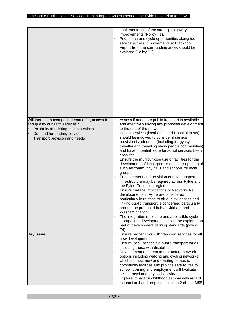|                                                                                                                                                                                              | implementation of the strategic highway<br>improvements (Policy T1).<br>Pedestrian and cycle opportunities alongside<br>service access improvements at Blackpool<br>Airport from the surrounding areas should be<br>explored (Policy T2).                                                                                                                                                                                                                                                                                                                                                                                                                                                                                                                                                                                                                                                                                                                                                                                                                                                                                                            |
|----------------------------------------------------------------------------------------------------------------------------------------------------------------------------------------------|------------------------------------------------------------------------------------------------------------------------------------------------------------------------------------------------------------------------------------------------------------------------------------------------------------------------------------------------------------------------------------------------------------------------------------------------------------------------------------------------------------------------------------------------------------------------------------------------------------------------------------------------------------------------------------------------------------------------------------------------------------------------------------------------------------------------------------------------------------------------------------------------------------------------------------------------------------------------------------------------------------------------------------------------------------------------------------------------------------------------------------------------------|
| Will there be a change in demand for, access to<br>and quality of health services?<br>Proximity to existing health services<br>Demand for existing services<br>Transport provision and needs | Assess if adequate public transport is available<br>and effectively linking any proposed development<br>to the rest of the network.<br>Health services (local CCG and Hospital trusts)<br>should be involved to consider if service<br>provision is adequate (including for gypsy,<br>traveller and travelling show people communities)<br>and have potential issue for social services been<br>consider.<br>Ensure the multipurpose use of facilities for the<br>development of local group's e.g. later opening of<br>such as community halls and schools for local<br>groups.<br>Enhancement and provision of new transport<br>infrastructure may be required across Fylde and<br>the Fylde Coast sub region.<br>Ensure that the implications of Networks Rail<br>developments in Fylde are considered<br>particularly in relation to air quality, access and<br>linking public transport is concerned particularly<br>around the proposed hub at Kirkham and<br>Wesham Station.<br>The integration of secure and accessible cycle<br>storage into developments should be explored as<br>part of development parking standards (policy<br>$T4$ ). |
| <b>Key Issue</b>                                                                                                                                                                             | Ensure proper links with transport services for all<br>$\bullet$<br>new developments.<br>Ensure local, accessible public transport for all,<br>including those with disabilities.<br>Development of Green Infrastructure network<br>$\bullet$<br>options including walking and cycling networks<br>which connect new and existing homes to<br>community facilities and provide safe routes to<br>school, training and employment will facilitate<br>active travel and physical activity.<br>Explore impact on childhood asthma with regard<br>to junction 4 and proposed junction 2 off the M55.                                                                                                                                                                                                                                                                                                                                                                                                                                                                                                                                                     |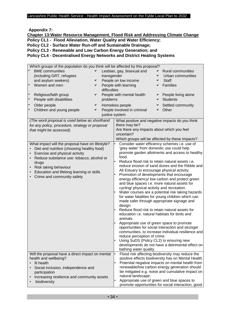**Appendix 7:** 

**Chapter 13:Water Resource Management, Flood Risk and Addressing Climate Change Policy CL1 - Flood Alleviation, Water Quality and Water Efficiency; Policy CL2 - Surface Water Run-off and Sustainable Drainage; Policy CL3 - Renewable and Low Carbon Energy Generation; and Policy CL4 - Decentralised Energy Networks and District Heating Systems** 

| Which groups of the population do you think will be affected by this proposal? |                |                                                          |   |                                                     |  |
|--------------------------------------------------------------------------------|----------------|----------------------------------------------------------|---|-----------------------------------------------------|--|
| ✔<br><b>BME</b> communities<br>✔                                               |                | Lesbian, gay, bisexual and                               | ✔ | <b>Rural communities</b>                            |  |
| (including GRT, refugees                                                       | transgender    |                                                          | ✔ | Urban communities                                   |  |
| and asylum seekers)<br>✓                                                       |                | People on low income                                     | ✔ | <b>Staff</b>                                        |  |
| ✔<br>Women and men<br>✔                                                        |                | People with learning                                     | ✔ | <b>Families</b>                                     |  |
|                                                                                | difficulties   |                                                          |   |                                                     |  |
| $\checkmark$                                                                   |                |                                                          |   |                                                     |  |
| Religious/faith group<br>✔                                                     |                | People with mental health                                | ✔ | People living alone                                 |  |
| ✔<br>People with disabilities                                                  | problems       |                                                          |   | <b>Students</b>                                     |  |
| Older people<br>✔<br>✔                                                         |                | Homeless people                                          |   | Settled community                                   |  |
| Children and young people<br>✔                                                 |                | People involved in criminal                              | ✔ | Other                                               |  |
|                                                                                | justice system |                                                          |   |                                                     |  |
| (The word proposal is used below as shorthand                                  |                |                                                          |   | What positive and negative impacts do you think     |  |
| for any policy, procedure, strategy or proposal                                |                | there may be?                                            |   |                                                     |  |
| that might be assessed).                                                       |                | Are there any impacts about which you feel               |   |                                                     |  |
|                                                                                |                | uncertain?                                               |   |                                                     |  |
|                                                                                |                |                                                          |   | Which groups will be affected by these impacts?     |  |
|                                                                                |                |                                                          |   |                                                     |  |
| What impact will the proposal have on lifestyle?                               |                |                                                          |   | Consider water efficiency schemes i.e. use of       |  |
| Diet and nutrition (choosing healthy food)                                     |                | 'grey water' from domestic use could help                |   |                                                     |  |
| Exercise and physical activity                                                 |                | promote garden allotments and access to healthy<br>food. |   |                                                     |  |
| Reduce substance use: tobacco, alcohol or                                      |                | Reduce flood risk to retain natural assets i.e.          |   |                                                     |  |
| drugs                                                                          |                | reduce erosion of sand dunes and the Ribble and          |   |                                                     |  |
| Risk taking behaviour                                                          |                | Alt Estuary to encourage physical activity.              |   |                                                     |  |
| Education and lifelong learning or skills                                      |                | Promotion of developments that encourage                 |   |                                                     |  |
| Crime and community safety                                                     |                |                                                          |   | energy efficiency/ low carbon and protect green     |  |
|                                                                                |                | and blue spaces i.e. more natural assets for             |   |                                                     |  |
|                                                                                |                | cycling/ physical activity and recreation.               |   |                                                     |  |
|                                                                                |                |                                                          |   | Water courses are a potential risk taking hazards   |  |
|                                                                                |                |                                                          |   | for water fatalities for young children which can   |  |
|                                                                                |                | made safer through appropriate signage and               |   |                                                     |  |
|                                                                                |                | design.                                                  |   |                                                     |  |
|                                                                                |                | Reduce flood risk to retain natural assets for           |   |                                                     |  |
|                                                                                |                | education i.e. natural habitats for birds and            |   |                                                     |  |
|                                                                                |                | animals.                                                 |   |                                                     |  |
|                                                                                |                | Appropriate use of green space to promote                |   |                                                     |  |
|                                                                                |                |                                                          |   | opportunities for social interaction and stronger   |  |
|                                                                                |                |                                                          |   | communities, to increase individual resilience and  |  |
|                                                                                |                | reduce perception of crime.                              |   |                                                     |  |
|                                                                                |                | Using SuDS (Policy CL2) to ensuring new                  |   |                                                     |  |
|                                                                                |                |                                                          |   | developments do not have a detrimental effect on    |  |
|                                                                                |                | bathing water quality.                                   |   |                                                     |  |
| Will the proposal have a direct impact on mental                               |                | $\bullet$                                                |   | Flood risk affecting biodiversity may reduce the    |  |
| health and wellbeing?                                                          |                |                                                          |   | positive effects biodiversity has on Mental Health. |  |
| III health                                                                     |                |                                                          |   | Potential negative impacts on mental health from    |  |
| Social inclusion, independence and                                             |                |                                                          |   | renewable/low carbon energy generation should       |  |
| participation                                                                  |                |                                                          |   | be mitigated e.g. noise and cumulative impact on    |  |
| Increasing resilience and community assets<br>$\bullet$                        |                | natural landscape.                                       |   |                                                     |  |
| biodiversity                                                                   |                |                                                          |   | Appropriate use of green and blue spaces to         |  |
|                                                                                |                |                                                          |   | promote opportunities for social interaction, good  |  |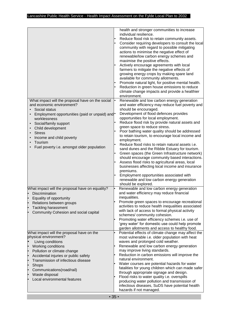| What impact will the proposal have on the social                                                                                                                                                                                                                                          | health and stronger communities to increase<br>individual resilience.<br>Reduce flood risk to retain community assets.<br>Consider requiring developers to consult the local<br>community with regard to possible mitigating<br>actions to minimise the negative effect of<br>renewable/low carbon energy schemes and<br>maximise the positive effects.<br>Actively encourage agreements with local<br>farmers to mitigate the negative effects of<br>growing energy crops by making spare land<br>available for community allotments.<br>Promote natural light, for positive mental health.<br>Reduction in green house emissions to reduce<br>climate change impacts and provide a healthier<br>environment.<br>Renewable and low carbon energy generation<br>٠                                                                                                |
|-------------------------------------------------------------------------------------------------------------------------------------------------------------------------------------------------------------------------------------------------------------------------------------------|------------------------------------------------------------------------------------------------------------------------------------------------------------------------------------------------------------------------------------------------------------------------------------------------------------------------------------------------------------------------------------------------------------------------------------------------------------------------------------------------------------------------------------------------------------------------------------------------------------------------------------------------------------------------------------------------------------------------------------------------------------------------------------------------------------------------------------------------------------------|
| and economic environment?<br>Social status<br>Employment opportunities (paid or unpaid) and <sup>*</sup><br>worklessness<br>Social/family support<br>$\bullet$<br>Child development<br><b>Stress</b><br>Income and child poverty<br>Tourism<br>Fuel poverty i.e. amongst older population | and water efficiency may reduce fuel poverty and<br>should be encouraged.<br>Development of flood defences provides<br>opportunities for local employment.<br>Reduce flood risk by provide natural assets and<br>green space to reduce stress.<br>Poor bathing water quality should be addressed<br>to retain tourism, to encourage local income and<br>employment.<br>Reduce flood risks to retain natural assets i.e.<br>sand dunes and the Ribble Estuary for tourism.<br>Green spaces (the Green Infrastructure network)<br>should encourage community based interactions.<br>Assess flood risks to agricultural areas, local<br>businesses affecting local income and insurance<br>premiums.<br>Employment opportunities associated with<br>renewable and low carbon energy generation<br>should be explored.<br>Renewable and low carbon energy generation |
| What impact will the proposal have on equality?<br>Discrimination<br>Equality of opportunity<br>Relations between groups<br><b>Tackling harassment</b><br>Community Cohesion and social capital<br>What impact will the proposal have on the                                              | and water efficiency may reduce financial<br>inequalities.<br>Promote green spaces to encourage recreational<br>activities to reduce health inequalities associated<br>with lack of access to formal physical activity<br>schemes/ community cohesion.<br>Promoting water efficiency schemes i.e. use of<br>'grey water' for domestic use could help promote<br>garden allotments and access to healthy food.<br>Potential effects of climate change may affect the                                                                                                                                                                                                                                                                                                                                                                                              |
| physical environment?<br>Living conditions<br>Working conditions<br>Pollution or climate change<br>Accidental injuries or public safety<br>Transmission of infectious disease<br>Shops<br>Communications(road/rail)<br>Waste disposal<br>Local environmental features                     | most vulnerable i.e. older population with heat<br>waves and prolonged cold weather.<br>Renewable and low carbon energy generation<br>may improve living standards.<br>Reduction in carbon emissions will improve the<br>natural environment.<br>Water courses are potential hazards for water<br>fatalities for young children which can made safer<br>through appropriate signage and design.<br>Flood risks to water quality i.e. overspills<br>producing water pollution and transmission of<br>infectious diseases, SuDS have potential health<br>hazards if not managed.                                                                                                                                                                                                                                                                                   |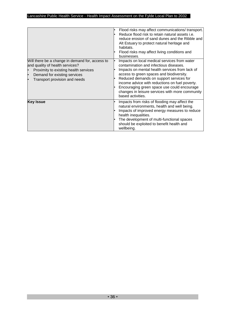| Will there be a change in demand for, access to                                                                                                        | Flood risks may affect communications/transport.<br>Reduce flood risk to retain natural assets i.e.<br>reduce erosion of sand dunes and the Ribble and<br>Alt Estuary to protect natural heritage and<br>habitats.<br>Flood risks may affect living conditions and<br>businesses.<br>Impacts on local medical services from water                        |
|--------------------------------------------------------------------------------------------------------------------------------------------------------|----------------------------------------------------------------------------------------------------------------------------------------------------------------------------------------------------------------------------------------------------------------------------------------------------------------------------------------------------------|
| and quality of health services?<br>Proximity to existing health services<br>Demand for existing services<br>$\bullet$<br>Transport provision and needs | contamination and infectious diseases.<br>Impacts on mental health services from lack of<br>access to green spaces and biodiversity.<br>Reduced demands on support services for<br>income advice with reductions on fuel poverty.<br>Encouraging green space use could encourage<br>changes in leisure services with more community<br>based activities. |
| <b>Key Issue</b>                                                                                                                                       | Impacts from risks of flooding may affect the<br>natural environments, health and well being.<br>Impacts of improved energy measures to reduce<br>health inequalities.<br>The development of multi-functional spaces<br>should be exploited to benefit health and<br>wellbeing.                                                                          |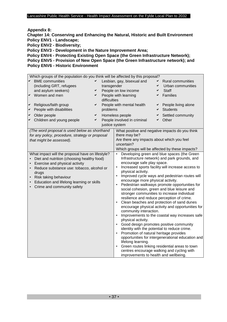**Appendix 8:** 

**Chapter 14: Conserving and Enhancing the Natural, Historic and Built Environment Policy ENV1 - Landscape;** 

**Policy ENV2 - Biodiversity;** 

**Policy ENV3 - Development in the Nature Improvement Area;** 

**Policy ENV4 - Protecting Existing Open Space (the Green Infrastructure Network); Policy ENV5 - Provision of New Open Space (the Green Infrastructure network); and Policy ENV6 - Historic Environment**

|                                                  | Which groups of the population do you think will be affected by this proposal?                                                                                                                                                                                                                                                                                                                                             |   |                                                                                     |                                                                                                                                                                                                                                                                                                                                                                                                                                                                                                                                                                                                                         |   |                                                                                                                                                                                                                                                                                                                                                                                                                                                                                                                                                                 |
|--------------------------------------------------|----------------------------------------------------------------------------------------------------------------------------------------------------------------------------------------------------------------------------------------------------------------------------------------------------------------------------------------------------------------------------------------------------------------------------|---|-------------------------------------------------------------------------------------|-------------------------------------------------------------------------------------------------------------------------------------------------------------------------------------------------------------------------------------------------------------------------------------------------------------------------------------------------------------------------------------------------------------------------------------------------------------------------------------------------------------------------------------------------------------------------------------------------------------------------|---|-----------------------------------------------------------------------------------------------------------------------------------------------------------------------------------------------------------------------------------------------------------------------------------------------------------------------------------------------------------------------------------------------------------------------------------------------------------------------------------------------------------------------------------------------------------------|
| ✔                                                | <b>BME</b> communities                                                                                                                                                                                                                                                                                                                                                                                                     |   |                                                                                     | Lesbian, gay, bisexual and                                                                                                                                                                                                                                                                                                                                                                                                                                                                                                                                                                                              | ✔ | <b>Rural communities</b>                                                                                                                                                                                                                                                                                                                                                                                                                                                                                                                                        |
|                                                  | (including GRT, refugees                                                                                                                                                                                                                                                                                                                                                                                                   |   | transgender                                                                         |                                                                                                                                                                                                                                                                                                                                                                                                                                                                                                                                                                                                                         | ✔ | Urban communities                                                                                                                                                                                                                                                                                                                                                                                                                                                                                                                                               |
|                                                  | and asylum seekers)                                                                                                                                                                                                                                                                                                                                                                                                        | ✔ |                                                                                     | People on low income                                                                                                                                                                                                                                                                                                                                                                                                                                                                                                                                                                                                    | ✔ | <b>Staff</b>                                                                                                                                                                                                                                                                                                                                                                                                                                                                                                                                                    |
| ✔                                                | Women and men                                                                                                                                                                                                                                                                                                                                                                                                              | ✔ |                                                                                     | People with learning                                                                                                                                                                                                                                                                                                                                                                                                                                                                                                                                                                                                    | ✔ | Families                                                                                                                                                                                                                                                                                                                                                                                                                                                                                                                                                        |
|                                                  |                                                                                                                                                                                                                                                                                                                                                                                                                            |   | difficulties                                                                        |                                                                                                                                                                                                                                                                                                                                                                                                                                                                                                                                                                                                                         |   |                                                                                                                                                                                                                                                                                                                                                                                                                                                                                                                                                                 |
| ✔                                                | Religious/faith group                                                                                                                                                                                                                                                                                                                                                                                                      | ✓ |                                                                                     | People with mental health                                                                                                                                                                                                                                                                                                                                                                                                                                                                                                                                                                                               | ✔ | People living alone                                                                                                                                                                                                                                                                                                                                                                                                                                                                                                                                             |
| ✔                                                | People with disabilities                                                                                                                                                                                                                                                                                                                                                                                                   |   | problems                                                                            |                                                                                                                                                                                                                                                                                                                                                                                                                                                                                                                                                                                                                         | ✔ | <b>Students</b>                                                                                                                                                                                                                                                                                                                                                                                                                                                                                                                                                 |
| $\checkmark$                                     | Older people                                                                                                                                                                                                                                                                                                                                                                                                               | ✔ |                                                                                     | Homeless people                                                                                                                                                                                                                                                                                                                                                                                                                                                                                                                                                                                                         | ✔ | Settled community                                                                                                                                                                                                                                                                                                                                                                                                                                                                                                                                               |
| ✔                                                | Children and young people                                                                                                                                                                                                                                                                                                                                                                                                  | ✔ |                                                                                     | People involved in criminal                                                                                                                                                                                                                                                                                                                                                                                                                                                                                                                                                                                             |   | Other                                                                                                                                                                                                                                                                                                                                                                                                                                                                                                                                                           |
|                                                  |                                                                                                                                                                                                                                                                                                                                                                                                                            |   | justice system                                                                      |                                                                                                                                                                                                                                                                                                                                                                                                                                                                                                                                                                                                                         |   |                                                                                                                                                                                                                                                                                                                                                                                                                                                                                                                                                                 |
| $\bullet$<br>$\bullet$<br>$\bullet$<br>$\bullet$ | (The word proposal is used below as shorthand<br>for any policy, procedure, strategy or proposal<br>that might be assessed).<br>What impact will the proposal have on lifestyle?<br>Diet and nutrition (choosing healthy food)<br>Exercise and physical activity<br>Reduce substance use: tobacco, alcohol or<br>drugs<br>Risk taking behaviour<br>Education and lifelong learning or skills<br>Crime and community safety |   |                                                                                     | What positive and negative impacts do you think<br>there may be?<br>Are there any impacts about which you feel<br>uncertain?<br>Which groups will be affected by these impacts?<br>encourage safe play space.<br>physical activity.<br>$\bullet$<br>encourage more physical activity.<br>stronger communities to increase individual<br>resilience and reduce perception of crime.<br>$\bullet$<br>community interaction.<br>physical activity.<br>Good design promotes positive community<br>$\bullet$<br>identity with the potential to reduce crime.<br>Promotion of natural heritage provides<br>lifelong learning. |   | Developing green and blue spaces (the Green<br>Infrastructure network) and park grounds, and<br>Increased sports facility will increase access to<br>Improved cycle ways and pedestrian routes will<br>Pedestrian walkways promote opportunities for<br>social cohesion, green and blue leisure and<br>Clean beaches and protection of sand dunes<br>encourage physical activity and opportunities for<br>Improvements to the coastal way increases safe<br>opportunities for intergenerational education and<br>Green routes linking residential areas to town |
|                                                  |                                                                                                                                                                                                                                                                                                                                                                                                                            |   | centres encourage walking and cycling with<br>improvements to health and wellbeing. |                                                                                                                                                                                                                                                                                                                                                                                                                                                                                                                                                                                                                         |   |                                                                                                                                                                                                                                                                                                                                                                                                                                                                                                                                                                 |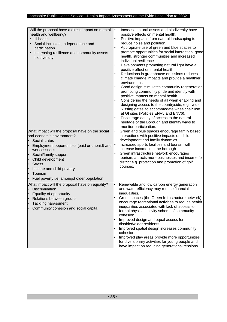| Will the proposal have a direct impact on mental<br>health and wellbeing?<br>III health<br>Social inclusion, independence and<br>participation<br>Increasing resilience and community assets<br>biodiversity                                                                                                                                  | Increase natural assets and biodiversity have<br>positive effects on mental health.<br>Positive impacts from natural landscaping to<br>reduce noise and pollution.<br>Appropriate use of green and blue spaces to<br>promote opportunities for social interaction, good<br>health, stronger communities and increased<br>individual resilience.<br>Developments promoting natural light have a<br>positive effect on mental health.<br>Reductions in greenhouse emissions reduces<br>climate change impacts and provide a healthier<br>environment.<br>Good design stimulates community regeneration<br>promoting community pride and identity with<br>positive impacts on mental health.<br>Considering the needs of all when enabling and<br>designing access to the countryside, e.g. wider<br>'kissing gates' to accommodate wheelchair use<br>at GI sites (Policies ENV5 and ENV6).<br>Encourage equity of access to the natural<br>heritage of the Borough and identify ways to<br>monitor participation. |
|-----------------------------------------------------------------------------------------------------------------------------------------------------------------------------------------------------------------------------------------------------------------------------------------------------------------------------------------------|-----------------------------------------------------------------------------------------------------------------------------------------------------------------------------------------------------------------------------------------------------------------------------------------------------------------------------------------------------------------------------------------------------------------------------------------------------------------------------------------------------------------------------------------------------------------------------------------------------------------------------------------------------------------------------------------------------------------------------------------------------------------------------------------------------------------------------------------------------------------------------------------------------------------------------------------------------------------------------------------------------------------|
| What impact will the proposal have on the social<br>and economic environment?<br>Social status<br>Employment opportunities (paid or unpaid) and<br>worklessness<br>Social/family support<br>l<br>Child development<br>ŀ<br><b>Stress</b><br>ŀ<br>Income and child poverty<br>ŀ<br>Tourism<br>l.<br>Fuel poverty i.e. amongst older population | Green and blue spaces encourage family based<br>interactions with positive impacts on child<br>development and family dynamics.<br>Increased sports facilities and tourism will<br>increase income into the borough.<br>Green infrastructure network encourages<br>tourism, attracts more businesses and income for<br>district e.g. protection and promotion of golf<br>courses.                                                                                                                                                                                                                                                                                                                                                                                                                                                                                                                                                                                                                               |
| What impact will the proposal have on equality?<br>Discrimination<br>Equality of opportunity<br>Relations between groups<br><b>Tackling harassment</b><br>Community cohesion and social capital                                                                                                                                               | Renewable and low carbon energy generation<br>and water efficiency may reduce financial<br>inequalities.<br>Green spaces (the Green Infrastructure network)<br>encourage recreational activities to reduce health<br>inequalities associated with lack of access to<br>formal physical activity schemes/community<br>cohesion.<br>Improved design and equal access for<br>disabled/older residents.<br>Improved spatial design increases community<br>cohesion.<br>Improved play areas provide more opportunities<br>for diversionary activities for young people and<br>have impact on reducing generational tensions.                                                                                                                                                                                                                                                                                                                                                                                         |